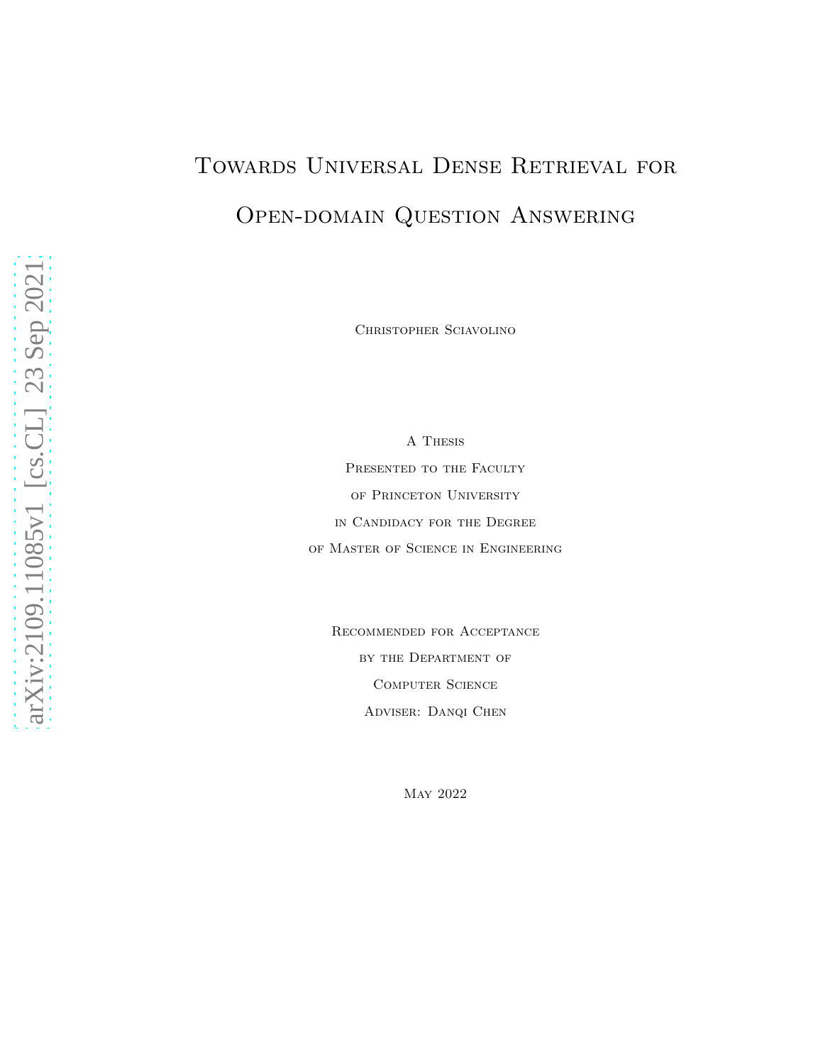# Towards Universal Dense Retrieval for OPEN-DOMAIN QUESTION ANSWERING

Christopher Sciavolino

A Thesis PRESENTED TO THE FACULTY of Princeton University in Candidacy for the Degree of Master of Science in Engineering

Recommended for Acceptance by the Department of Computer Science Adviser: Danqi Chen

May 2022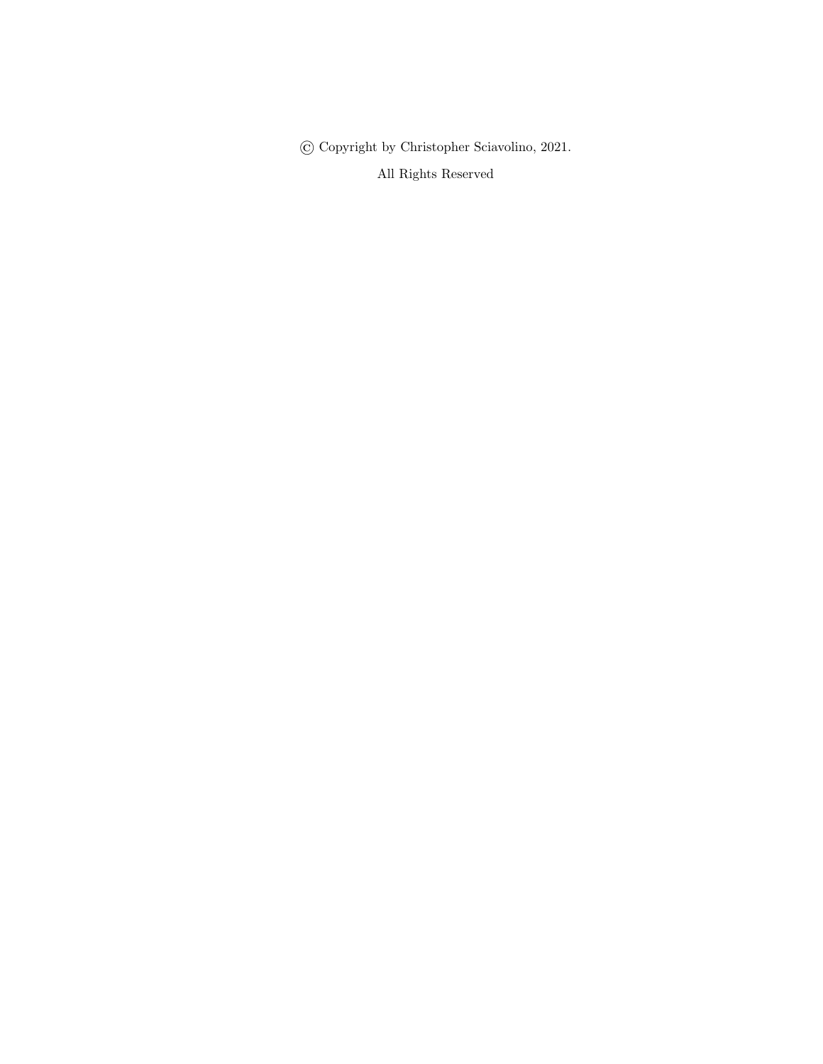© Copyright by Christopher Sciavolino, 2021.

All Rights Reserved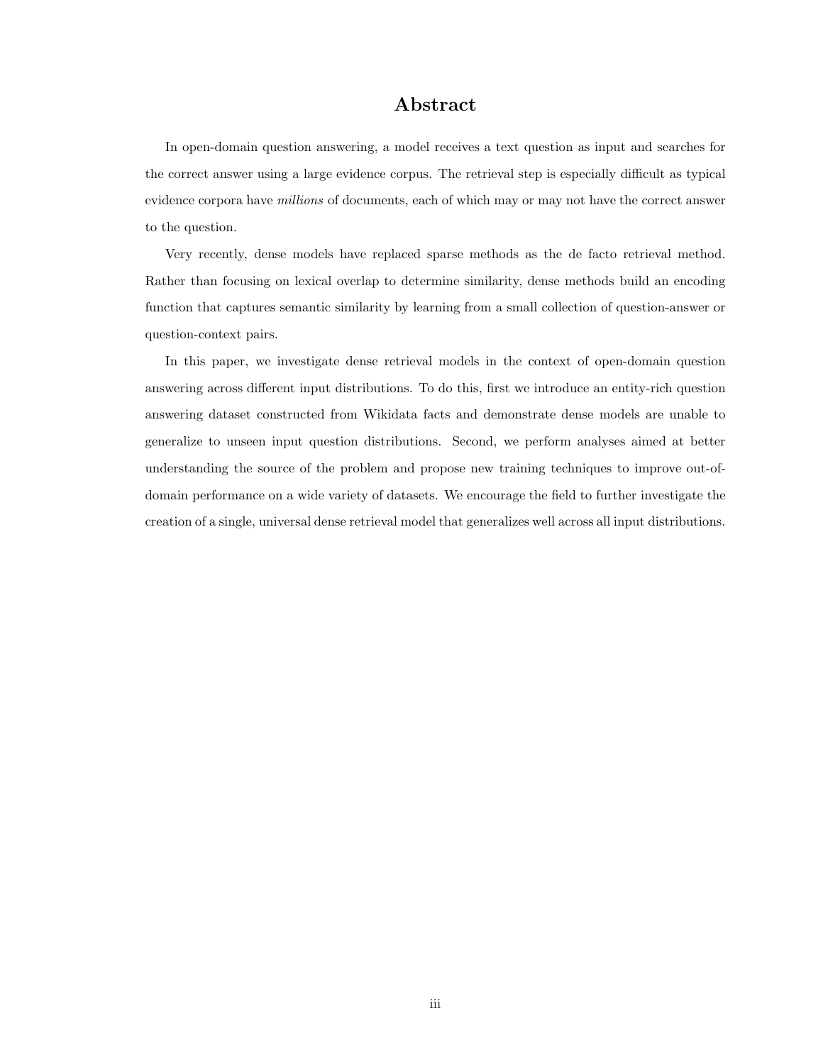#### Abstract

In open-domain question answering, a model receives a text question as input and searches for the correct answer using a large evidence corpus. The retrieval step is especially difficult as typical evidence corpora have *millions* of documents, each of which may or may not have the correct answer to the question.

Very recently, dense models have replaced sparse methods as the de facto retrieval method. Rather than focusing on lexical overlap to determine similarity, dense methods build an encoding function that captures semantic similarity by learning from a small collection of question-answer or question-context pairs.

In this paper, we investigate dense retrieval models in the context of open-domain question answering across different input distributions. To do this, first we introduce an entity-rich question answering dataset constructed from Wikidata facts and demonstrate dense models are unable to generalize to unseen input question distributions. Second, we perform analyses aimed at better understanding the source of the problem and propose new training techniques to improve out-ofdomain performance on a wide variety of datasets. We encourage the field to further investigate the creation of a single, universal dense retrieval model that generalizes well across all input distributions.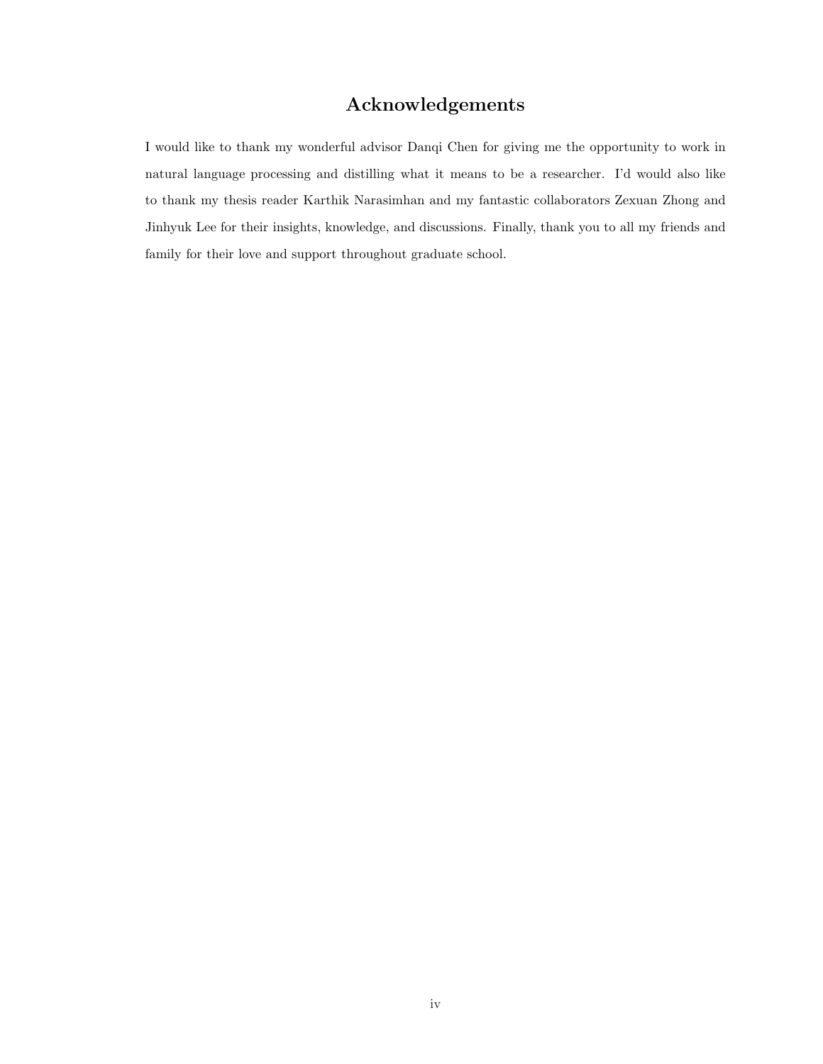#### Acknowledgements

I would like to thank my wonderful advisor Danqi Chen for giving me the opportunity to work in natural language processing and distilling what it means to be a researcher. I'd would also like to thank my thesis reader Karthik Narasimhan and my fantastic collaborators Zexuan Zhong and Jinhyuk Lee for their insights, knowledge, and discussions. Finally, thank you to all my friends and family for their love and support throughout graduate school.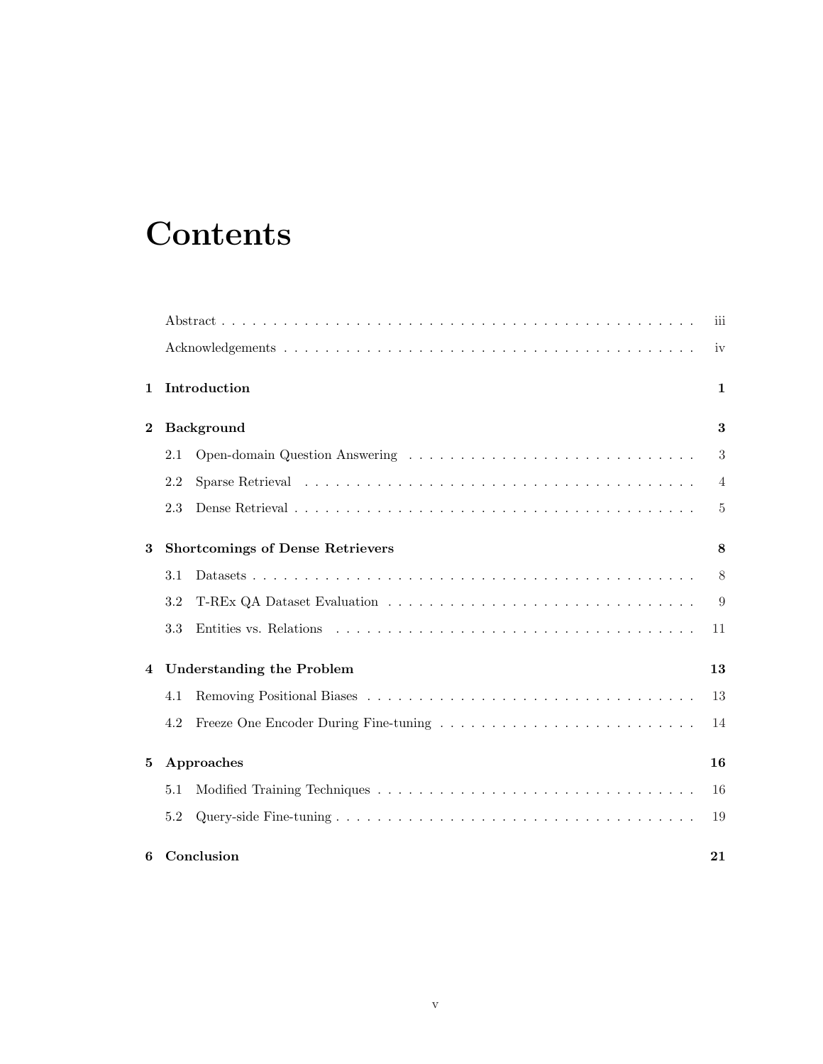# **Contents**

|             |                                         | iii            |
|-------------|-----------------------------------------|----------------|
|             |                                         | iv             |
| $\mathbf 1$ | Introduction                            | $\mathbf{1}$   |
| $\bf{2}$    | <b>Background</b>                       | 3              |
|             | 2.1                                     | $\mathfrak{Z}$ |
|             | 2.2                                     | $\overline{4}$ |
|             | 2.3                                     | 5              |
| 3           | <b>Shortcomings of Dense Retrievers</b> | 8              |
|             | 3.1                                     | 8              |
|             | 3.2                                     | 9              |
|             | 3.3                                     | 11             |
| 4           | <b>Understanding the Problem</b>        | 13             |
|             | 4.1                                     | 13             |
|             | 4.2                                     | 14             |
| 5           | Approaches                              | 16             |
|             | 5.1                                     | 16             |
|             | 5.2                                     | 19             |
| 6           | Conclusion                              | 21             |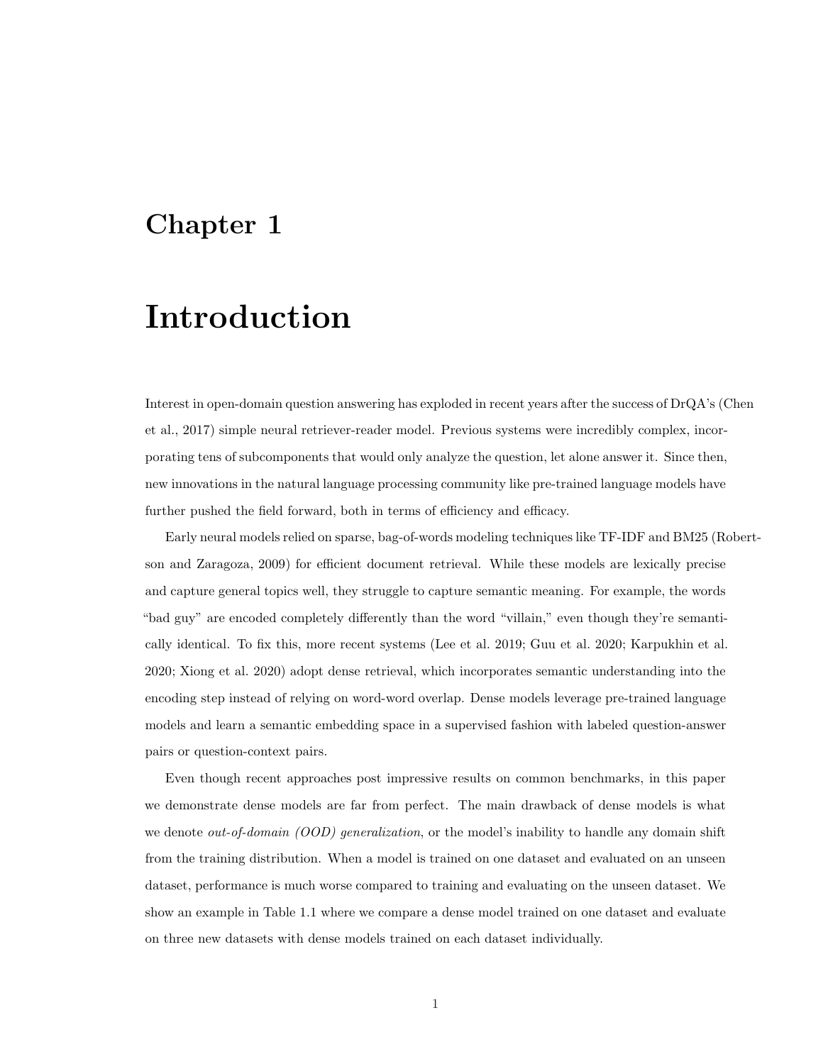## Introduction

Interest in open-domain question answering has exploded in recent years after the success of DrQA's (Chen et al., 2017) simple neural retriever-reader model. Previous systems were incredibly complex, incorporating tens of subcomponents that would only analyze the question, let alone answer it. Since then, new innovations in the natural language processing community like pre-trained language models have further pushed the field forward, both in terms of efficiency and efficacy.

Early neural models relied on sparse, bag-of-words modeling techniques like TF-IDF and BM25 (Robertson and Zaragoza, 2009) for efficient document retrieval. While these models are lexically precise and capture general topics well, they struggle to capture semantic meaning. For example, the words "bad guy" are encoded completely differently than the word "villain," even though they're semantically identical. To fix this, more recent systems (Lee et al. 2019; Guu et al. 2020; Karpukhin et al. 2020; Xiong et al. 2020) adopt dense retrieval, which incorporates semantic understanding into the encoding step instead of relying on word-word overlap. Dense models leverage pre-trained language models and learn a semantic embedding space in a supervised fashion with labeled question-answer pairs or question-context pairs.

Even though recent approaches post impressive results on common benchmarks, in this paper we demonstrate dense models are far from perfect. The main drawback of dense models is what we denote *out-of-domain (OOD) generalization*, or the model's inability to handle any domain shift from the training distribution. When a model is trained on one dataset and evaluated on an unseen dataset, performance is much worse compared to training and evaluating on the unseen dataset. We show an example in Table 1.1 where we compare a dense model trained on one dataset and evaluate on three new datasets with dense models trained on each dataset individually.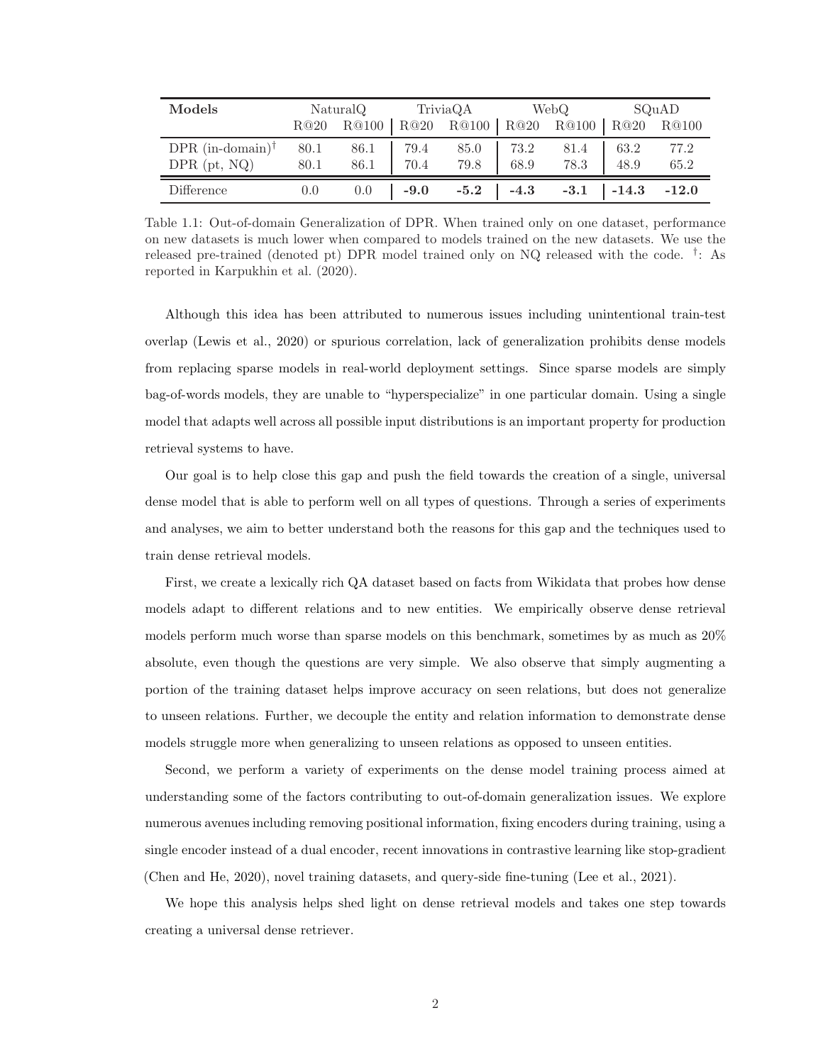| Models                      | NaturalQ |             |            | TriviaQA WebQ                                |           |                                      | SQuAD |      |
|-----------------------------|----------|-------------|------------|----------------------------------------------|-----------|--------------------------------------|-------|------|
|                             | R@20     |             |            | R@100   R@20 R@100   R@20 R@100   R@20 R@100 |           |                                      |       |      |
| DPR $(in-domain)^{\dagger}$ | 80.1     | 86.1   79.4 |            |                                              | 85.0 73.2 | 81.4                                 | 63.2  | 77.2 |
| $DPR$ (pt, NQ)              | 80.1     | 86.1 70.4   |            |                                              | 79.8 68.9 | 78.3 48.9                            |       | 65.2 |
| Difference                  | $0.0\,$  |             | $0.0$ -9.0 |                                              |           | $-5.2$ $-4.3$ $-3.1$ $-14.3$ $-12.0$ |       |      |

Table 1.1: Out-of-domain Generalization of DPR. When trained only on one dataset, performance on new datasets is much lower when compared to models trained on the new datasets. We use the released pre-trained (denoted pt) DPR model trained only on NQ released with the code. † : As reported in Karpukhin et al. (2020).

Although this idea has been attributed to numerous issues including unintentional train-test overlap (Lewis et al., 2020) or spurious correlation, lack of generalization prohibits dense models from replacing sparse models in real-world deployment settings. Since sparse models are simply bag-of-words models, they are unable to "hyperspecialize" in one particular domain. Using a single model that adapts well across all possible input distributions is an important property for production retrieval systems to have.

Our goal is to help close this gap and push the field towards the creation of a single, universal dense model that is able to perform well on all types of questions. Through a series of experiments and analyses, we aim to better understand both the reasons for this gap and the techniques used to train dense retrieval models.

First, we create a lexically rich QA dataset based on facts from Wikidata that probes how dense models adapt to different relations and to new entities. We empirically observe dense retrieval models perform much worse than sparse models on this benchmark, sometimes by as much as 20% absolute, even though the questions are very simple. We also observe that simply augmenting a portion of the training dataset helps improve accuracy on seen relations, but does not generalize to unseen relations. Further, we decouple the entity and relation information to demonstrate dense models struggle more when generalizing to unseen relations as opposed to unseen entities.

Second, we perform a variety of experiments on the dense model training process aimed at understanding some of the factors contributing to out-of-domain generalization issues. We explore numerous avenues including removing positional information, fixing encoders during training, using a single encoder instead of a dual encoder, recent innovations in contrastive learning like stop-gradient (Chen and He, 2020), novel training datasets, and query-side fine-tuning (Lee et al., 2021).

We hope this analysis helps shed light on dense retrieval models and takes one step towards creating a universal dense retriever.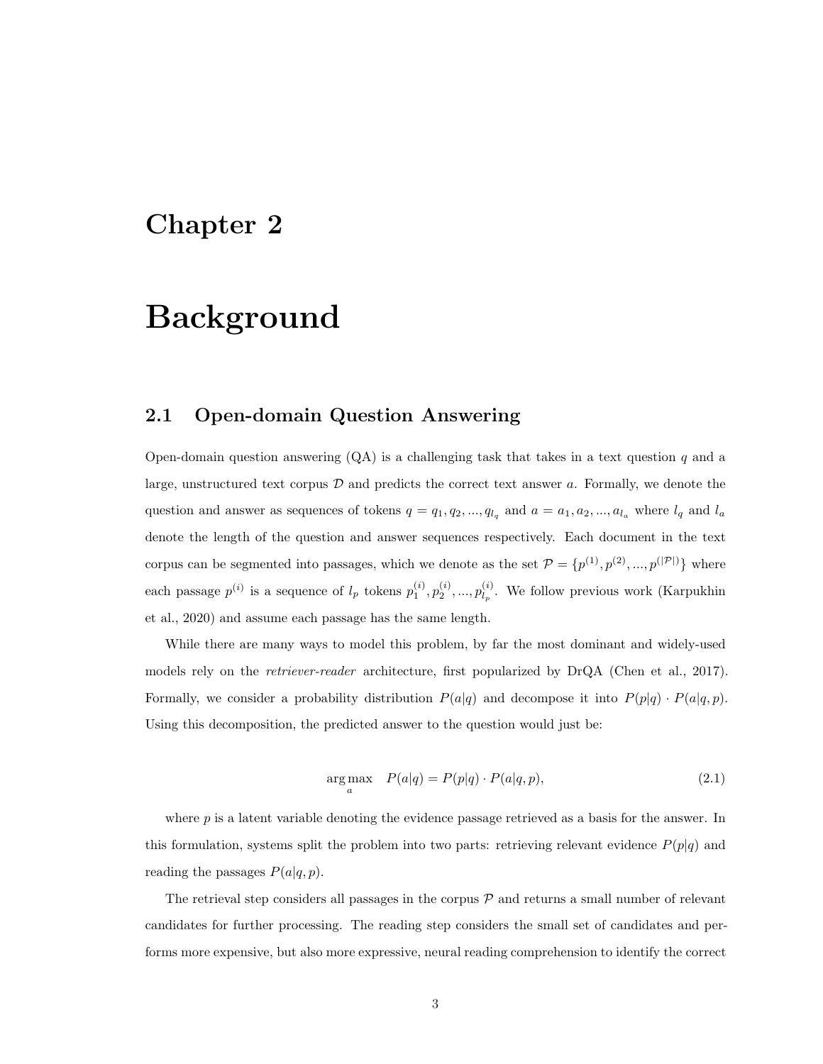## Background

#### 2.1 Open-domain Question Answering

Open-domain question answering  $(QA)$  is a challenging task that takes in a text question q and a large, unstructured text corpus  $\mathcal D$  and predicts the correct text answer a. Formally, we denote the question and answer as sequences of tokens  $q = q_1, q_2, ..., q_{l_q}$  and  $a = a_1, a_2, ..., a_{l_a}$  where  $l_q$  and  $l_a$ denote the length of the question and answer sequences respectively. Each document in the text corpus can be segmented into passages, which we denote as the set  $\mathcal{P} = \{p^{(1)}, p^{(2)}, ..., p^{(|\mathcal{P}|)}\}$  where each passage  $p^{(i)}$  is a sequence of  $l_p$  tokens  $p_1^{(i)}, p_2^{(i)}, ..., p_{l_p}^{(i)}$  $\mathcal{L}_{l_p}^{(i)}$ . We follow previous work (Karpukhin et al., 2020) and assume each passage has the same length.

While there are many ways to model this problem, by far the most dominant and widely-used models rely on the *retriever-reader* architecture, first popularized by DrQA (Chen et al., 2017). Formally, we consider a probability distribution  $P(a|q)$  and decompose it into  $P(p|q) \cdot P(a|q, p)$ . Using this decomposition, the predicted answer to the question would just be:

$$
\underset{a}{\arg\max} \quad P(a|q) = P(p|q) \cdot P(a|q, p), \tag{2.1}
$$

where  $p$  is a latent variable denoting the evidence passage retrieved as a basis for the answer. In this formulation, systems split the problem into two parts: retrieving relevant evidence  $P(p|q)$  and reading the passages  $P(a|q, p)$ .

The retrieval step considers all passages in the corpus  $P$  and returns a small number of relevant candidates for further processing. The reading step considers the small set of candidates and performs more expensive, but also more expressive, neural reading comprehension to identify the correct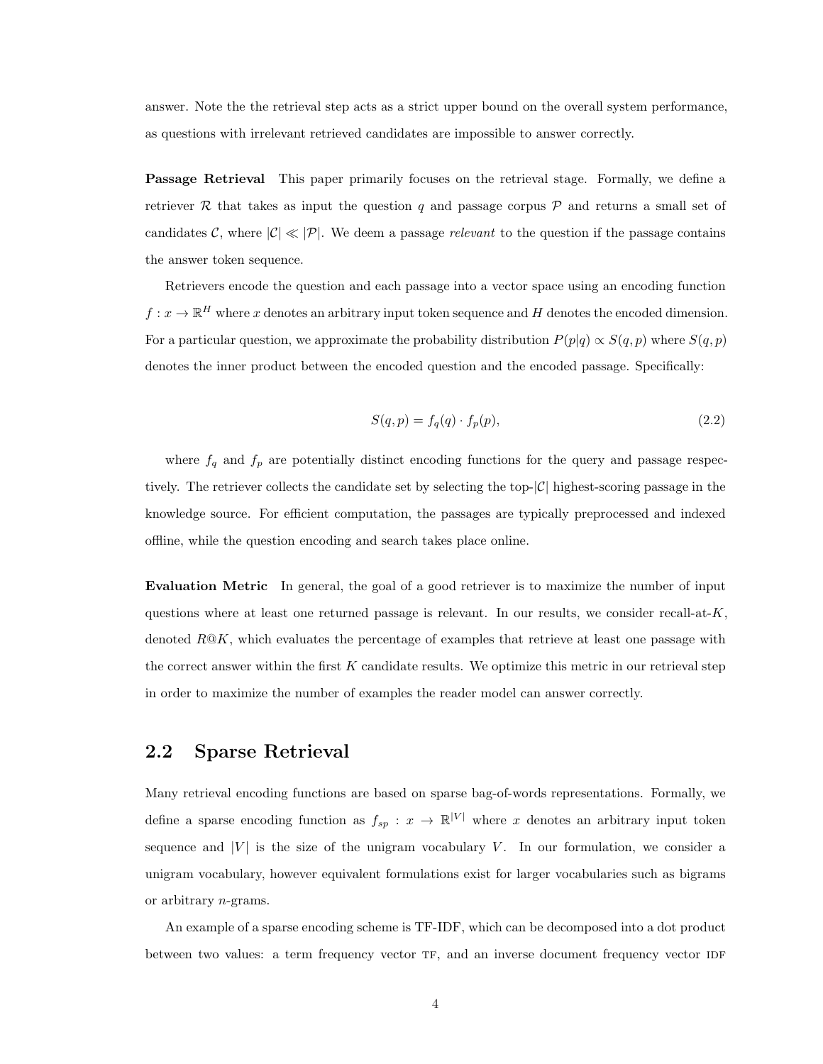answer. Note the the retrieval step acts as a strict upper bound on the overall system performance, as questions with irrelevant retrieved candidates are impossible to answer correctly.

Passage Retrieval This paper primarily focuses on the retrieval stage. Formally, we define a retriever R that takes as input the question q and passage corpus  $P$  and returns a small set of candidates C, where  $|\mathcal{C}| \ll |\mathcal{P}|$ . We deem a passage relevant to the question if the passage contains the answer token sequence.

Retrievers encode the question and each passage into a vector space using an encoding function  $f: x \to \mathbb{R}^H$  where x denotes an arbitrary input token sequence and H denotes the encoded dimension. For a particular question, we approximate the probability distribution  $P(p|q) \propto S(q, p)$  where  $S(q, p)$ denotes the inner product between the encoded question and the encoded passage. Specifically:

$$
S(q, p) = f_q(q) \cdot f_p(p),\tag{2.2}
$$

where  $f_q$  and  $f_p$  are potentially distinct encoding functions for the query and passage respectively. The retriever collects the candidate set by selecting the top- $|\mathcal{C}|$  highest-scoring passage in the knowledge source. For efficient computation, the passages are typically preprocessed and indexed offline, while the question encoding and search takes place online.

Evaluation Metric In general, the goal of a good retriever is to maximize the number of input questions where at least one returned passage is relevant. In our results, we consider recall-at- $K$ , denoted  $R@K$ , which evaluates the percentage of examples that retrieve at least one passage with the correct answer within the first  $K$  candidate results. We optimize this metric in our retrieval step in order to maximize the number of examples the reader model can answer correctly.

#### 2.2 Sparse Retrieval

Many retrieval encoding functions are based on sparse bag-of-words representations. Formally, we define a sparse encoding function as  $f_{sp} : x \to \mathbb{R}^{|V|}$  where x denotes an arbitrary input token sequence and  $|V|$  is the size of the unigram vocabulary  $V$ . In our formulation, we consider a unigram vocabulary, however equivalent formulations exist for larger vocabularies such as bigrams or arbitrary n-grams.

An example of a sparse encoding scheme is TF-IDF, which can be decomposed into a dot product between two values: a term frequency vector TF, and an inverse document frequency vector IDF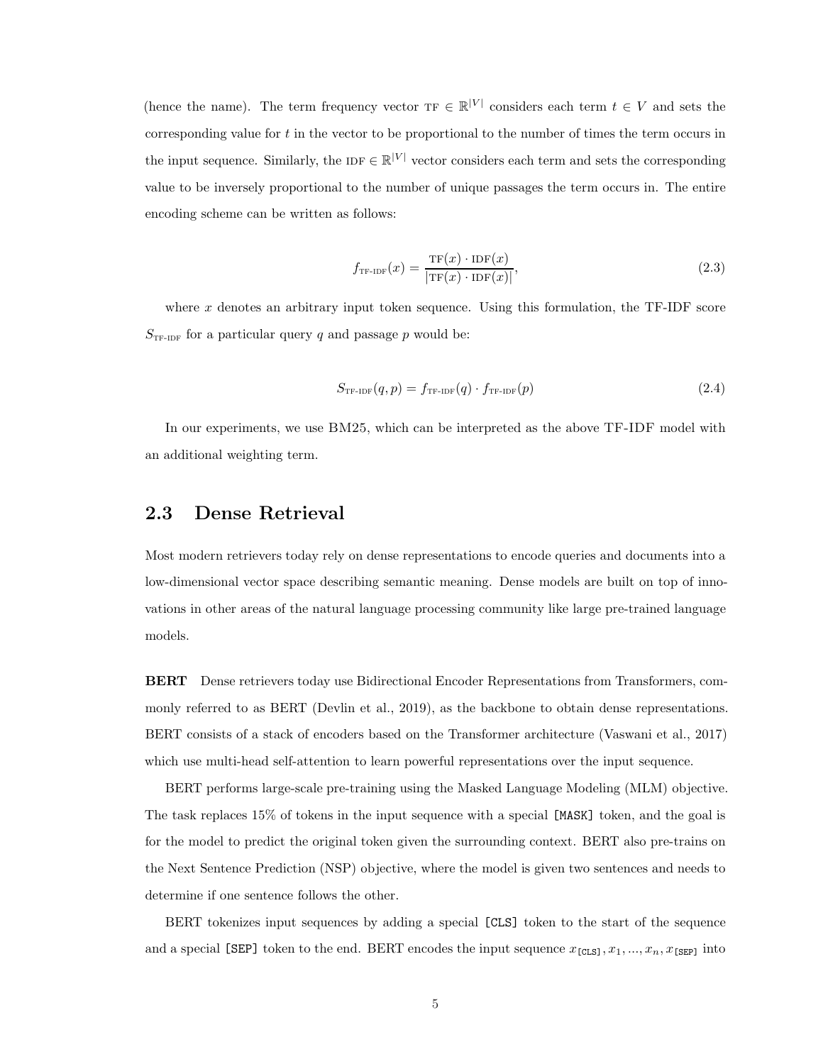(hence the name). The term frequency vector  $TF \in \mathbb{R}^{|V|}$  considers each term  $t \in V$  and sets the corresponding value for  $t$  in the vector to be proportional to the number of times the term occurs in the input sequence. Similarly, the IDF  $\in \mathbb{R}^{|V|}$  vector considers each term and sets the corresponding value to be inversely proportional to the number of unique passages the term occurs in. The entire encoding scheme can be written as follows:

$$
f_{\text{TF-IDF}}(x) = \frac{\text{TF}(x) \cdot \text{IDF}(x)}{|\text{TF}(x) \cdot \text{IDF}(x)|},\tag{2.3}
$$

where  $x$  denotes an arbitrary input token sequence. Using this formulation, the TF-IDF score  $S_{\text{TF-IDF}}$  for a particular query q and passage p would be:

$$
S_{\text{TF-IDF}}(q, p) = f_{\text{TF-IDF}}(q) \cdot f_{\text{TF-IDF}}(p) \tag{2.4}
$$

In our experiments, we use BM25, which can be interpreted as the above TF-IDF model with an additional weighting term.

#### 2.3 Dense Retrieval

Most modern retrievers today rely on dense representations to encode queries and documents into a low-dimensional vector space describing semantic meaning. Dense models are built on top of innovations in other areas of the natural language processing community like large pre-trained language models.

BERT Dense retrievers today use Bidirectional Encoder Representations from Transformers, commonly referred to as BERT (Devlin et al., 2019), as the backbone to obtain dense representations. BERT consists of a stack of encoders based on the Transformer architecture (Vaswani et al., 2017) which use multi-head self-attention to learn powerful representations over the input sequence.

BERT performs large-scale pre-training using the Masked Language Modeling (MLM) objective. The task replaces 15% of tokens in the input sequence with a special [MASK] token, and the goal is for the model to predict the original token given the surrounding context. BERT also pre-trains on the Next Sentence Prediction (NSP) objective, where the model is given two sentences and needs to determine if one sentence follows the other.

BERT tokenizes input sequences by adding a special [CLS] token to the start of the sequence and a special [SEP] token to the end. BERT encodes the input sequence  $x_{[CLS]}, x_1, ..., x_n, x_{[SEP]}$  into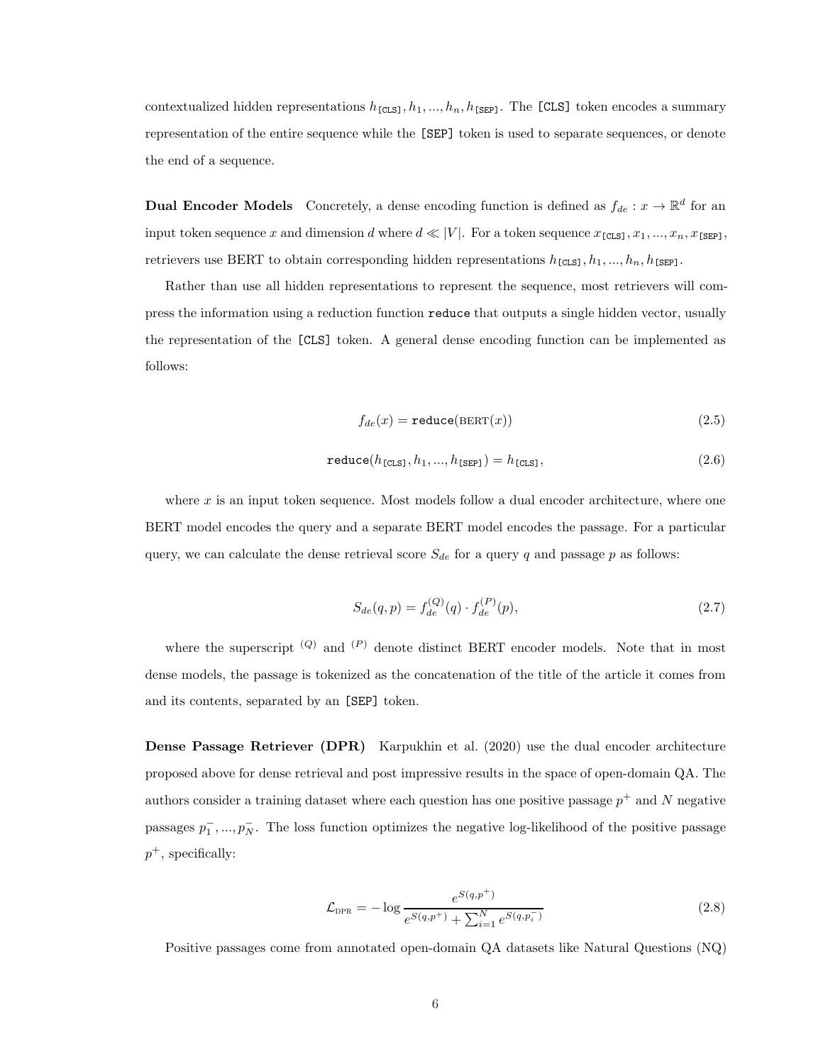contextualized hidden representations  $h_{\texttt{[CLS]}}, h_1, ..., h_n, h_{\texttt{[SEP]}}$ . The [CLS] token encodes a summary representation of the entire sequence while the [SEP] token is used to separate sequences, or denote the end of a sequence.

**Dual Encoder Models** Concretely, a dense encoding function is defined as  $f_{de} : x \to \mathbb{R}^d$  for an input token sequence x and dimension d where  $d \ll |V|$ . For a token sequence  $x_{\texttt{[CLS]}}, x_1, ..., x_n, x_{\texttt{[SEP]}},$ retrievers use BERT to obtain corresponding hidden representations  $h_{\texttt{[CLS]}}, h_1, ..., h_n, h_{\texttt{[SEP]}}$ .

Rather than use all hidden representations to represent the sequence, most retrievers will compress the information using a reduction function reduce that outputs a single hidden vector, usually the representation of the [CLS] token. A general dense encoding function can be implemented as follows:

$$
f_{de}(x) = \text{reduce}(\text{BERT}(x))\tag{2.5}
$$

$$
\text{reduce}(h_{\text{[CLS]}}, h_1, ..., h_{\text{[SEP]}}) = h_{\text{[CLS]}},\tag{2.6}
$$

where  $x$  is an input token sequence. Most models follow a dual encoder architecture, where one BERT model encodes the query and a separate BERT model encodes the passage. For a particular query, we can calculate the dense retrieval score  $S_{de}$  for a query q and passage p as follows:

$$
S_{de}(q, p) = f_{de}^{(Q)}(q) \cdot f_{de}^{(P)}(p),
$$
\n(2.7)

where the superscript  $(Q)$  and  $(P)$  denote distinct BERT encoder models. Note that in most dense models, the passage is tokenized as the concatenation of the title of the article it comes from and its contents, separated by an [SEP] token.

Dense Passage Retriever (DPR) Karpukhin et al. (2020) use the dual encoder architecture proposed above for dense retrieval and post impressive results in the space of open-domain QA. The authors consider a training dataset where each question has one positive passage  $p^+$  and N negative passages  $p_1^-, ..., p_N^-$ . The loss function optimizes the negative log-likelihood of the positive passage  $p^+$ , specifically:

$$
\mathcal{L}_{\text{DPR}} = -\log \frac{e^{S(q, p^+)} }{e^{S(q, p^+)} + \sum_{i=1}^{N} e^{S(q, p_i^-)}}
$$
(2.8)

Positive passages come from annotated open-domain QA datasets like Natural Questions (NQ)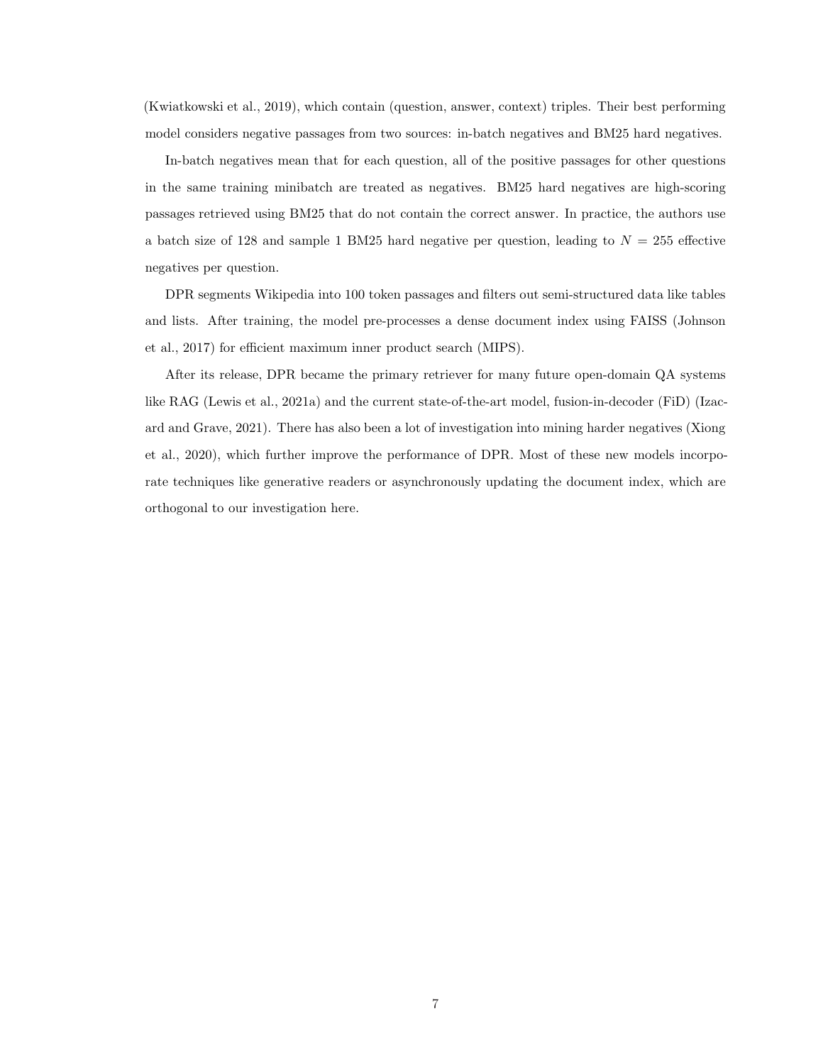(Kwiatkowski et al., 2019), which contain (question, answer, context) triples. Their best performing model considers negative passages from two sources: in-batch negatives and BM25 hard negatives.

In-batch negatives mean that for each question, all of the positive passages for other questions in the same training minibatch are treated as negatives. BM25 hard negatives are high-scoring passages retrieved using BM25 that do not contain the correct answer. In practice, the authors use a batch size of 128 and sample 1 BM25 hard negative per question, leading to  $N = 255$  effective negatives per question.

DPR segments Wikipedia into 100 token passages and filters out semi-structured data like tables and lists. After training, the model pre-processes a dense document index using FAISS (Johnson et al., 2017) for efficient maximum inner product search (MIPS).

After its release, DPR became the primary retriever for many future open-domain QA systems like RAG (Lewis et al., 2021a) and the current state-of-the-art model, fusion-in-decoder (FiD) (Izacard and Grave, 2021). There has also been a lot of investigation into mining harder negatives (Xiong et al., 2020), which further improve the performance of DPR. Most of these new models incorporate techniques like generative readers or asynchronously updating the document index, which are orthogonal to our investigation here.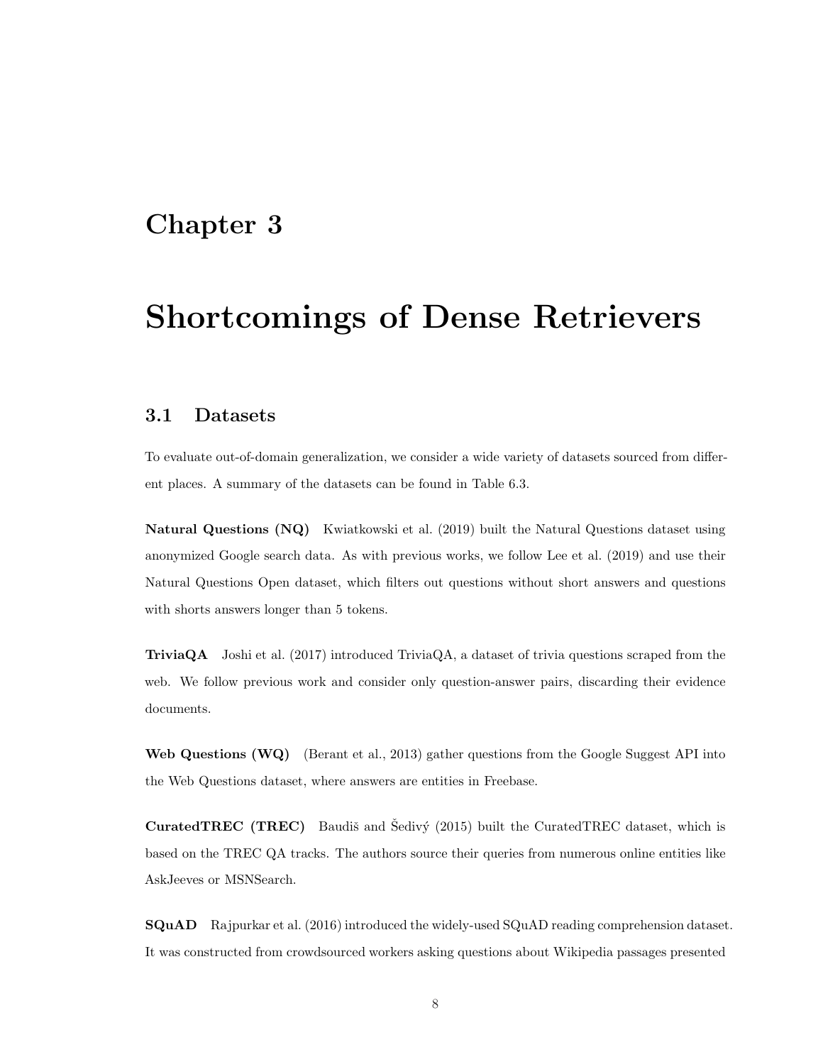## Shortcomings of Dense Retrievers

#### 3.1 Datasets

To evaluate out-of-domain generalization, we consider a wide variety of datasets sourced from different places. A summary of the datasets can be found in Table 6.3.

Natural Questions (NQ) Kwiatkowski et al. (2019) built the Natural Questions dataset using anonymized Google search data. As with previous works, we follow Lee et al. (2019) and use their Natural Questions Open dataset, which filters out questions without short answers and questions with shorts answers longer than 5 tokens.

TriviaQA Joshi et al. (2017) introduced TriviaQA, a dataset of trivia questions scraped from the web. We follow previous work and consider only question-answer pairs, discarding their evidence documents.

Web Questions (WQ) (Berant et al., 2013) gather questions from the Google Suggest API into the Web Questions dataset, where answers are entities in Freebase.

**CuratedTREC (TREC)** Baudiš and Šedivý  $(2015)$  built the CuratedTREC dataset, which is based on the TREC QA tracks. The authors source their queries from numerous online entities like AskJeeves or MSNSearch.

SQuAD Rajpurkar et al. (2016) introduced the widely-used SQuAD reading comprehension dataset. It was constructed from crowdsourced workers asking questions about Wikipedia passages presented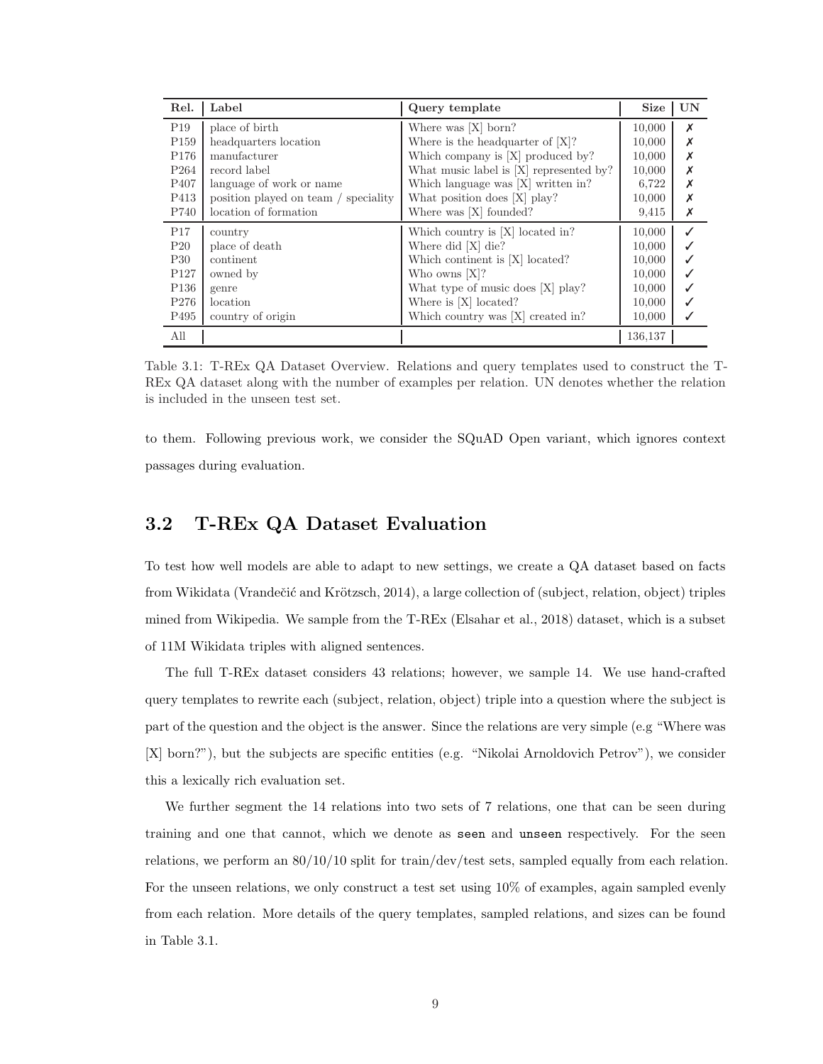| Rel.             | Label                                | Query template                          | <b>Size</b> | UN |
|------------------|--------------------------------------|-----------------------------------------|-------------|----|
| P19              | place of birth                       | Where was $[X]$ born?                   | 10,000      | X  |
| P <sub>159</sub> | headquarters location                | Where is the headquarter of $[X]$ ?     | 10.000      |    |
| P <sub>176</sub> | manufacturer                         | Which company is $[X]$ produced by?     | 10,000      | Х  |
| P <sub>264</sub> | record label                         | What music label is [X] represented by? | 10,000      | Х  |
| P <sub>407</sub> | language of work or name             | Which language was [X] written in?      | 6,722       | Х  |
| P413             | position played on team / speciality | What position does [X] play?            | 10,000      | Х  |
| P740             | location of formation                | Where was [X] founded?                  | 9,415       | X  |
| P17              | country                              | Which country is [X] located in?        | 10,000      | ✓  |
| $P_{20}$         | place of death                       | Where did [X] die?                      | 10,000      |    |
| P30              | continent                            | Which continent is [X] located?         | 10,000      |    |
| P <sub>127</sub> | owned by                             | Who owns $[X]$ ?                        | 10,000      |    |
| P <sub>136</sub> | genre                                | What type of music does [X] play?       | 10,000      |    |
| P276             | location                             | Where is $[X]$ located?                 | 10,000      |    |
| P495             | country of origin                    | Which country was [X] created in?       | 10,000      |    |
| All              |                                      |                                         | 136,137     |    |

Table 3.1: T-REx QA Dataset Overview. Relations and query templates used to construct the T-REx QA dataset along with the number of examples per relation. UN denotes whether the relation is included in the unseen test set.

to them. Following previous work, we consider the SQuAD Open variant, which ignores context passages during evaluation.

#### 3.2 T-REx QA Dataset Evaluation

To test how well models are able to adapt to new settings, we create a QA dataset based on facts from Wikidata (Vrandečić and Krötzsch, 2014), a large collection of (subject, relation, object) triples mined from Wikipedia. We sample from the T-REx (Elsahar et al., 2018) dataset, which is a subset of 11M Wikidata triples with aligned sentences.

The full T-REx dataset considers 43 relations; however, we sample 14. We use hand-crafted query templates to rewrite each (subject, relation, object) triple into a question where the subject is part of the question and the object is the answer. Since the relations are very simple (e.g "Where was [X] born?"), but the subjects are specific entities (e.g. "Nikolai Arnoldovich Petrov"), we consider this a lexically rich evaluation set.

We further segment the 14 relations into two sets of 7 relations, one that can be seen during training and one that cannot, which we denote as seen and unseen respectively. For the seen relations, we perform an 80/10/10 split for train/dev/test sets, sampled equally from each relation. For the unseen relations, we only construct a test set using 10% of examples, again sampled evenly from each relation. More details of the query templates, sampled relations, and sizes can be found in Table 3.1.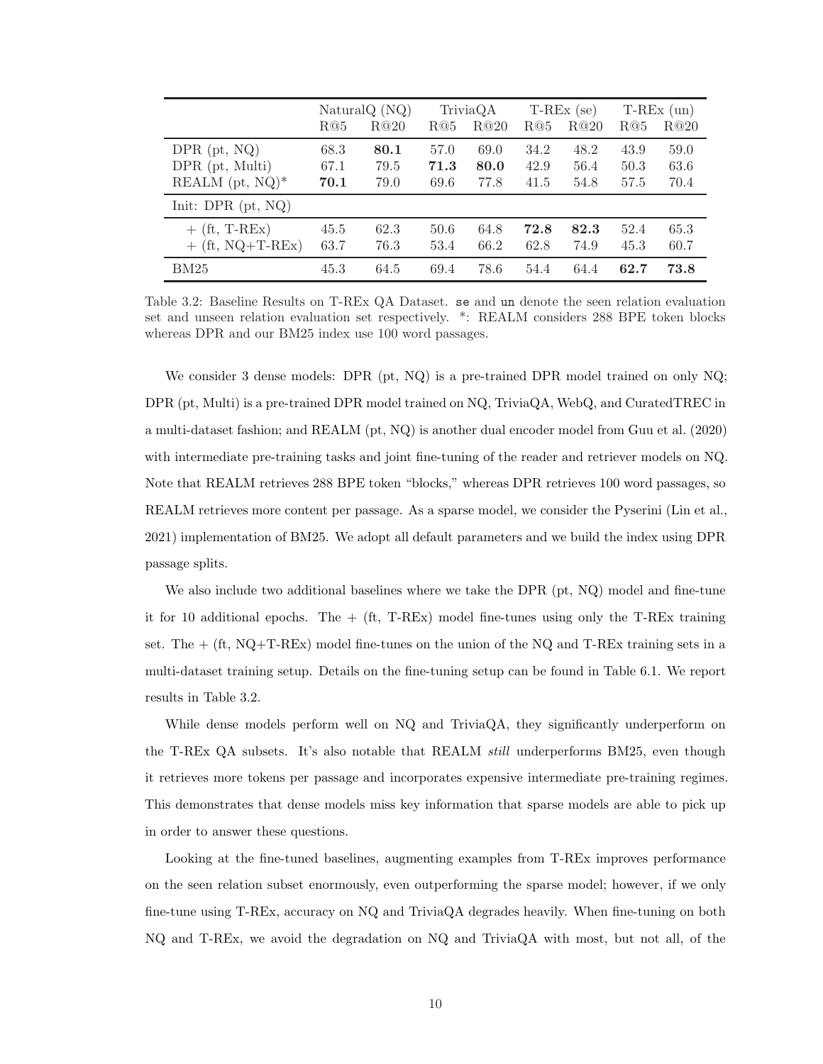|                      | Natural $Q(NQ)$<br>R@20<br>R@5 |      | TriviaQA<br>R@20<br>R@5 |      | $T-REx$ (se)<br>R@20<br>R@5 |      | $T-REx$ (un)<br>R@20<br>R@5 |      |
|----------------------|--------------------------------|------|-------------------------|------|-----------------------------|------|-----------------------------|------|
|                      |                                |      |                         |      |                             |      |                             |      |
| $DPR$ (pt, $NQ$ )    | 68.3                           | 80.1 | 57.0                    | 69.0 | 34.2                        | 48.2 | 43.9                        | 59.0 |
| $DPR$ (pt, Multi)    | 67.1                           | 79.5 | 71.3                    | 80.0 | 42.9                        | 56.4 | 50.3                        | 63.6 |
| REALM $(pt, NQ)^*$   | 70.1                           | 79.0 | 69.6                    | 77.8 | 41.5                        | 54.8 | 57.5                        | 70.4 |
| Init: DPR $(pt, NQ)$ |                                |      |                         |      |                             |      |                             |      |
| $+$ (ft, T-REx)      | 45.5                           | 62.3 | 50.6                    | 64.8 | 72.8                        | 82.3 | 52.4                        | 65.3 |
| $+$ (ft, NQ+T-REx)   | 63.7                           | 76.3 | 53.4                    | 66.2 | 62.8                        | 74.9 | 45.3                        | 60.7 |
| <b>BM25</b>          | 45.3                           | 64.5 | 69.4                    | 78.6 | 54.4                        | 64.4 | 62.7                        | 73.8 |

Table 3.2: Baseline Results on T-REx QA Dataset. se and un denote the seen relation evaluation set and unseen relation evaluation set respectively. \*: REALM considers 288 BPE token blocks whereas DPR and our BM25 index use 100 word passages.

We consider 3 dense models: DPR (pt, NQ) is a pre-trained DPR model trained on only NQ; DPR (pt, Multi) is a pre-trained DPR model trained on NQ, TriviaQA, WebQ, and CuratedTREC in a multi-dataset fashion; and REALM (pt, NQ) is another dual encoder model from Guu et al. (2020) with intermediate pre-training tasks and joint fine-tuning of the reader and retriever models on NQ. Note that REALM retrieves 288 BPE token "blocks," whereas DPR retrieves 100 word passages, so REALM retrieves more content per passage. As a sparse model, we consider the Pyserini (Lin et al., 2021) implementation of BM25. We adopt all default parameters and we build the index using DPR passage splits.

We also include two additional baselines where we take the DPR (pt, NQ) model and fine-tune it for 10 additional epochs. The  $+$  (ft, T-REx) model fine-tunes using only the T-REx training set. The  $+$  (ft, NQ+T-REx) model fine-tunes on the union of the NQ and T-REx training sets in a multi-dataset training setup. Details on the fine-tuning setup can be found in Table 6.1. We report results in Table 3.2.

While dense models perform well on NQ and TriviaQA, they significantly underperform on the T-REx QA subsets. It's also notable that REALM still underperforms BM25, even though it retrieves more tokens per passage and incorporates expensive intermediate pre-training regimes. This demonstrates that dense models miss key information that sparse models are able to pick up in order to answer these questions.

Looking at the fine-tuned baselines, augmenting examples from T-REx improves performance on the seen relation subset enormously, even outperforming the sparse model; however, if we only fine-tune using T-REx, accuracy on NQ and TriviaQA degrades heavily. When fine-tuning on both NQ and T-REx, we avoid the degradation on NQ and TriviaQA with most, but not all, of the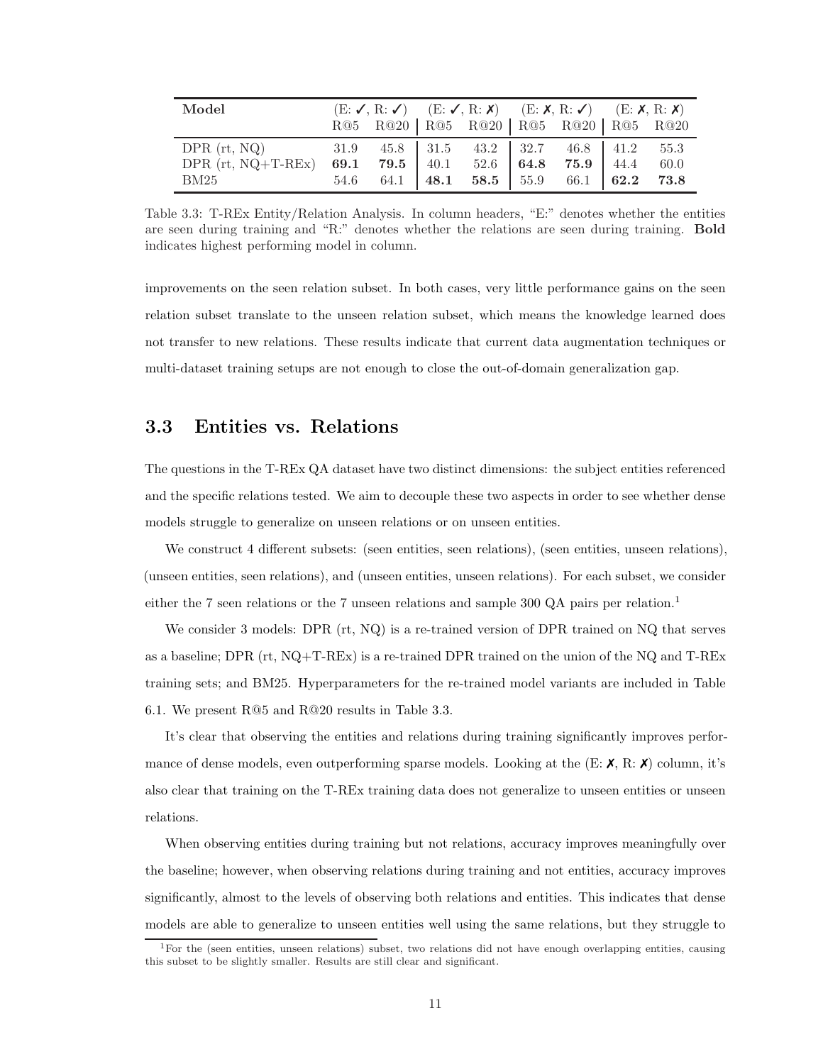| Model                |  |                                               |  |  | $(E: \checkmark, R: \checkmark)$ $(E: \checkmark, R: \checkmark)$ $(E: \checkmark, R: \checkmark)$ $(E: \checkmark, R: \checkmark)$ |  |      |  |
|----------------------|--|-----------------------------------------------|--|--|-------------------------------------------------------------------------------------------------------------------------------------|--|------|--|
|                      |  | R@5 R@20   R@5 R@20   R@5 R@20   R@5 R@20     |  |  |                                                                                                                                     |  |      |  |
| $DPR$ (rt, NQ)       |  | 31.9 45.8 31.5 43.2 32.7 46.8 41.2 55.3       |  |  |                                                                                                                                     |  |      |  |
| DPR $(rt, NQ+T-REx)$ |  | 69.1 79.5 40.1 52.6 64.8 75.9 44.4            |  |  |                                                                                                                                     |  | 60.0 |  |
| BM25                 |  | 54.6 64.1   48.1 58.5   55.9 66.1   62.2 73.8 |  |  |                                                                                                                                     |  |      |  |

Table 3.3: T-REx Entity/Relation Analysis. In column headers, "E:" denotes whether the entities are seen during training and "R:" denotes whether the relations are seen during training. Bold indicates highest performing model in column.

improvements on the seen relation subset. In both cases, very little performance gains on the seen relation subset translate to the unseen relation subset, which means the knowledge learned does not transfer to new relations. These results indicate that current data augmentation techniques or multi-dataset training setups are not enough to close the out-of-domain generalization gap.

#### 3.3 Entities vs. Relations

The questions in the T-REx QA dataset have two distinct dimensions: the subject entities referenced and the specific relations tested. We aim to decouple these two aspects in order to see whether dense models struggle to generalize on unseen relations or on unseen entities.

We construct 4 different subsets: (seen entities, seen relations), (seen entities, unseen relations), (unseen entities, seen relations), and (unseen entities, unseen relations). For each subset, we consider either the 7 seen relations or the 7 unseen relations and sample 300 QA pairs per relation.<sup>1</sup>

We consider 3 models: DPR (rt, NQ) is a re-trained version of DPR trained on NQ that serves as a baseline; DPR (rt, NQ+T-REx) is a re-trained DPR trained on the union of the NQ and T-REx training sets; and BM25. Hyperparameters for the re-trained model variants are included in Table 6.1. We present R@5 and R@20 results in Table 3.3.

It's clear that observing the entities and relations during training significantly improves performance of dense models, even outperforming sparse models. Looking at the  $(E: X, R: X)$  column, it's also clear that training on the T-REx training data does not generalize to unseen entities or unseen relations.

When observing entities during training but not relations, accuracy improves meaningfully over the baseline; however, when observing relations during training and not entities, accuracy improves significantly, almost to the levels of observing both relations and entities. This indicates that dense models are able to generalize to unseen entities well using the same relations, but they struggle to

<sup>1</sup>For the (seen entities, unseen relations) subset, two relations did not have enough overlapping entities, causing this subset to be slightly smaller. Results are still clear and significant.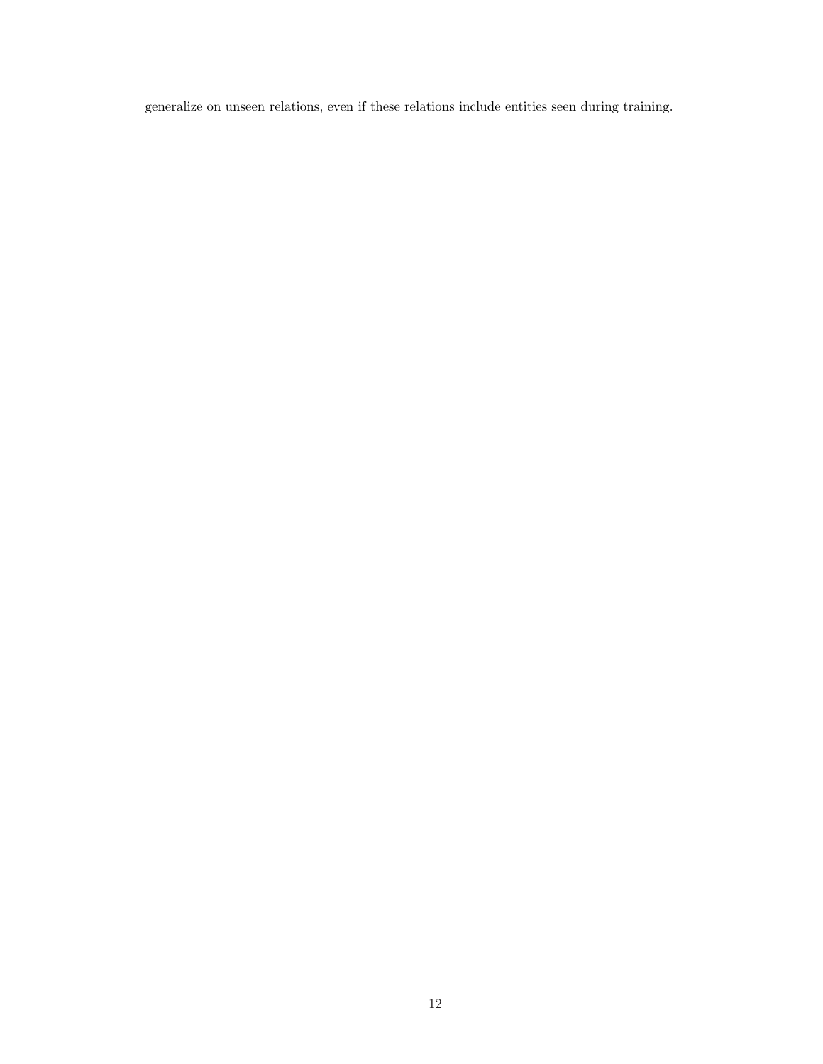generalize on unseen relations, even if these relations include entities seen during training.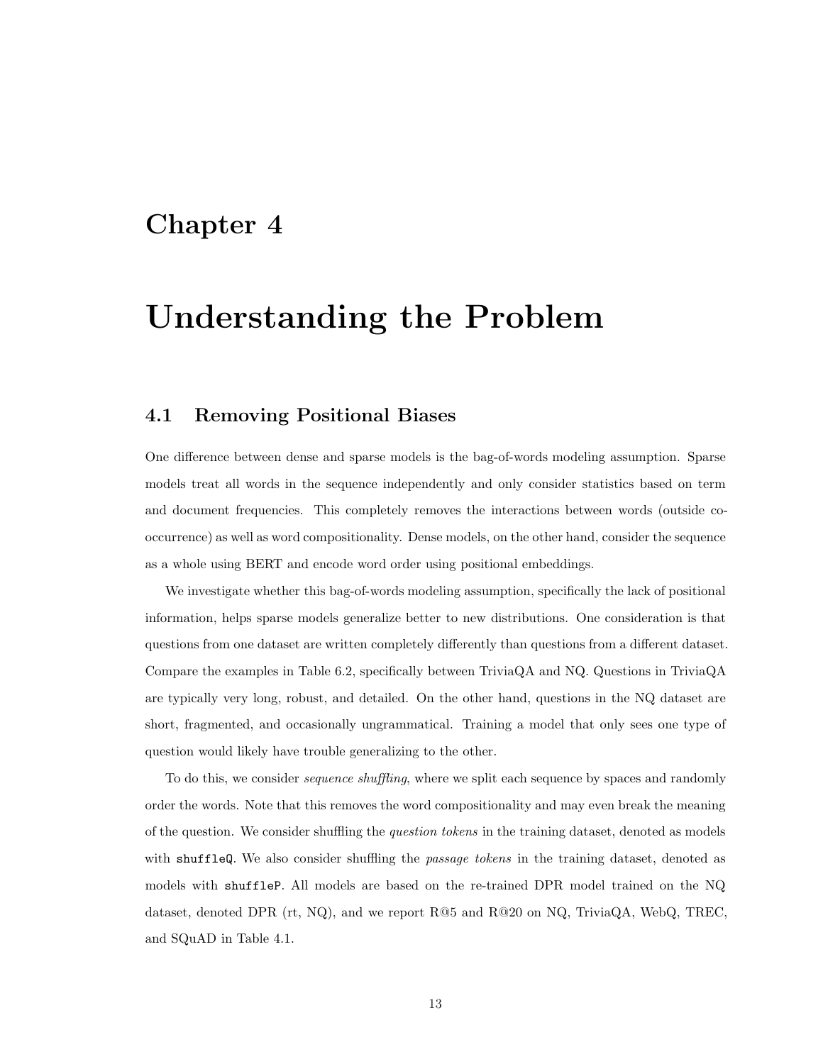## Understanding the Problem

#### 4.1 Removing Positional Biases

One difference between dense and sparse models is the bag-of-words modeling assumption. Sparse models treat all words in the sequence independently and only consider statistics based on term and document frequencies. This completely removes the interactions between words (outside cooccurrence) as well as word compositionality. Dense models, on the other hand, consider the sequence as a whole using BERT and encode word order using positional embeddings.

We investigate whether this bag-of-words modeling assumption, specifically the lack of positional information, helps sparse models generalize better to new distributions. One consideration is that questions from one dataset are written completely differently than questions from a different dataset. Compare the examples in Table 6.2, specifically between TriviaQA and NQ. Questions in TriviaQA are typically very long, robust, and detailed. On the other hand, questions in the NQ dataset are short, fragmented, and occasionally ungrammatical. Training a model that only sees one type of question would likely have trouble generalizing to the other.

To do this, we consider *sequence shuffling*, where we split each sequence by spaces and randomly order the words. Note that this removes the word compositionality and may even break the meaning of the question. We consider shuffling the question tokens in the training dataset, denoted as models with shuffleQ. We also consider shuffling the passage tokens in the training dataset, denoted as models with shuffleP. All models are based on the re-trained DPR model trained on the NQ dataset, denoted DPR (rt, NQ), and we report  $R@5$  and  $R@20$  on NQ, TriviaQA, WebQ, TREC, and SQuAD in Table 4.1.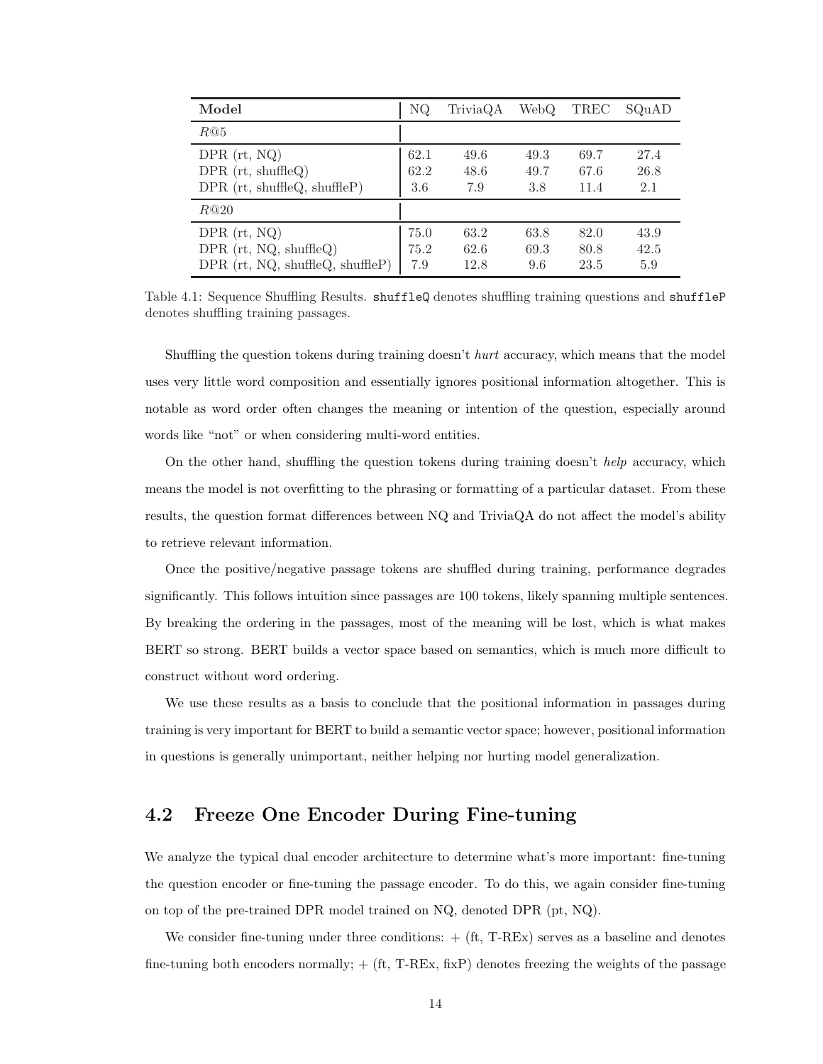| Model                              | NQ   | TriviaQA | WebQ | TREC | SQuAD |
|------------------------------------|------|----------|------|------|-------|
| R@5                                |      |          |      |      |       |
| $DPR$ (rt, NQ)                     | 62.1 | 49.6     | 49.3 | 69.7 | 27.4  |
| $DPR$ (rt, shuffleQ)               | 62.2 | 48.6     | 49.7 | 67.6 | 26.8  |
| $DPR$ (rt, shuffleQ, shuffleP)     | 3.6  | 7.9      | 3.8  | 11.4 | 2.1   |
| R@20                               |      |          |      |      |       |
| DPR $(rt, NQ)$                     | 75.0 | 63.2     | 63.8 | 82.0 | 43.9  |
| DPR $(rt, NQ, shuffleQ)$           | 75.2 | 62.6     | 69.3 | 80.8 | 42.5  |
| $DPR$ (rt, NQ, shuffleQ, shuffleP) | 7.9  | 12.8     | 9.6  | 23.5 | 5.9   |

Table 4.1: Sequence Shuffling Results. shuffleQ denotes shuffling training questions and shuffleP denotes shuffling training passages.

Shuffling the question tokens during training doesn't hurt accuracy, which means that the model uses very little word composition and essentially ignores positional information altogether. This is notable as word order often changes the meaning or intention of the question, especially around words like "not" or when considering multi-word entities.

On the other hand, shuffling the question tokens during training doesn't help accuracy, which means the model is not overfitting to the phrasing or formatting of a particular dataset. From these results, the question format differences between NQ and TriviaQA do not affect the model's ability to retrieve relevant information.

Once the positive/negative passage tokens are shuffled during training, performance degrades significantly. This follows intuition since passages are 100 tokens, likely spanning multiple sentences. By breaking the ordering in the passages, most of the meaning will be lost, which is what makes BERT so strong. BERT builds a vector space based on semantics, which is much more difficult to construct without word ordering.

We use these results as a basis to conclude that the positional information in passages during training is very important for BERT to build a semantic vector space; however, positional information in questions is generally unimportant, neither helping nor hurting model generalization.

#### 4.2 Freeze One Encoder During Fine-tuning

We analyze the typical dual encoder architecture to determine what's more important: fine-tuning the question encoder or fine-tuning the passage encoder. To do this, we again consider fine-tuning on top of the pre-trained DPR model trained on NQ, denoted DPR (pt, NQ).

We consider fine-tuning under three conditions:  $+$  (ft, T-REx) serves as a baseline and denotes fine-tuning both encoders normally;  $+$  (ft, T-REx, fixP) denotes freezing the weights of the passage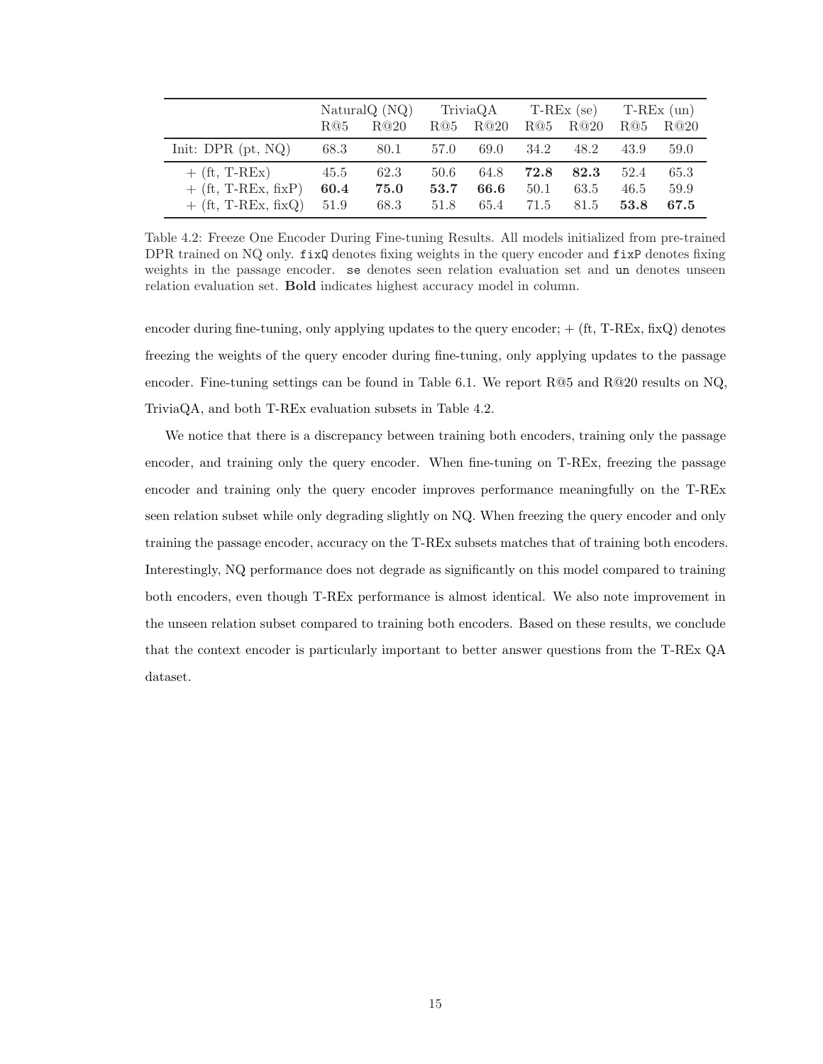|                       | NaturalQ (NQ) |      |      | TriviaQA |      |      | $T-REx$ (se) $T-REx$ (un) |      |
|-----------------------|---------------|------|------|----------|------|------|---------------------------|------|
|                       | R@5           | R@20 | R@5  | R@20     | R@5  | R@20 | R@5                       | R@20 |
| Init: DPR $(pt, NQ)$  | 68.3          | 80.1 | 57.0 | 69.0     | 34.2 | 48.2 | 43.9                      | 59.0 |
| $+$ (ft, T-REx)       | 45.5          | 62.3 | 50.6 | 64.8     | 72.8 | 82.3 | 52.4                      | 65.3 |
| $+$ (ft, T-REx, fixP) | 60.4          | 75.0 | 53.7 | 66.6     | 50.1 | 63.5 | 46.5                      | 59.9 |
| $+$ (ft, T-REx, fixQ) | 51.9          | 68.3 | 51.8 | 65.4     | 71.5 | 81.5 | 53.8                      | 67.5 |

Table 4.2: Freeze One Encoder During Fine-tuning Results. All models initialized from pre-trained DPR trained on NQ only.  $fixQ$  denotes fixing weights in the query encoder and  $fixP$  denotes fixing weights in the passage encoder. se denotes seen relation evaluation set and un denotes unseen relation evaluation set. Bold indicates highest accuracy model in column.

encoder during fine-tuning, only applying updates to the query encoder;  $+$  (ft, T-REx, fixQ) denotes freezing the weights of the query encoder during fine-tuning, only applying updates to the passage encoder. Fine-tuning settings can be found in Table 6.1. We report R@5 and R@20 results on NQ, TriviaQA, and both T-REx evaluation subsets in Table 4.2.

We notice that there is a discrepancy between training both encoders, training only the passage encoder, and training only the query encoder. When fine-tuning on T-REx, freezing the passage encoder and training only the query encoder improves performance meaningfully on the T-REx seen relation subset while only degrading slightly on NQ. When freezing the query encoder and only training the passage encoder, accuracy on the T-REx subsets matches that of training both encoders. Interestingly, NQ performance does not degrade as significantly on this model compared to training both encoders, even though T-REx performance is almost identical. We also note improvement in the unseen relation subset compared to training both encoders. Based on these results, we conclude that the context encoder is particularly important to better answer questions from the T-REx QA dataset.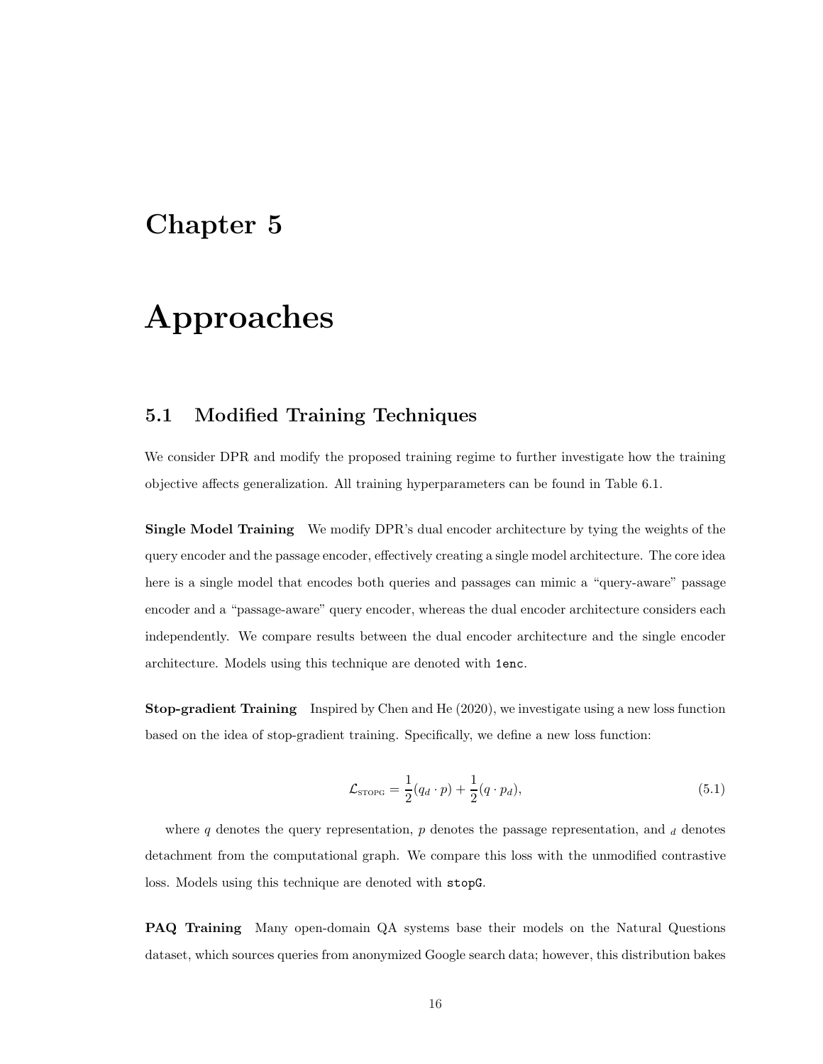## Approaches

#### 5.1 Modified Training Techniques

We consider DPR and modify the proposed training regime to further investigate how the training objective affects generalization. All training hyperparameters can be found in Table 6.1.

Single Model Training We modify DPR's dual encoder architecture by tying the weights of the query encoder and the passage encoder, effectively creating a single model architecture. The core idea here is a single model that encodes both queries and passages can mimic a "query-aware" passage encoder and a "passage-aware" query encoder, whereas the dual encoder architecture considers each independently. We compare results between the dual encoder architecture and the single encoder architecture. Models using this technique are denoted with 1enc.

Stop-gradient Training Inspired by Chen and He (2020), we investigate using a new loss function based on the idea of stop-gradient training. Specifically, we define a new loss function:

$$
\mathcal{L}_{\text{STOPG}} = \frac{1}{2}(q_d \cdot p) + \frac{1}{2}(q \cdot p_d),\tag{5.1}
$$

where q denotes the query representation,  $p$  denotes the passage representation, and  $d$  denotes detachment from the computational graph. We compare this loss with the unmodified contrastive loss. Models using this technique are denoted with stopG.

PAQ Training Many open-domain QA systems base their models on the Natural Questions dataset, which sources queries from anonymized Google search data; however, this distribution bakes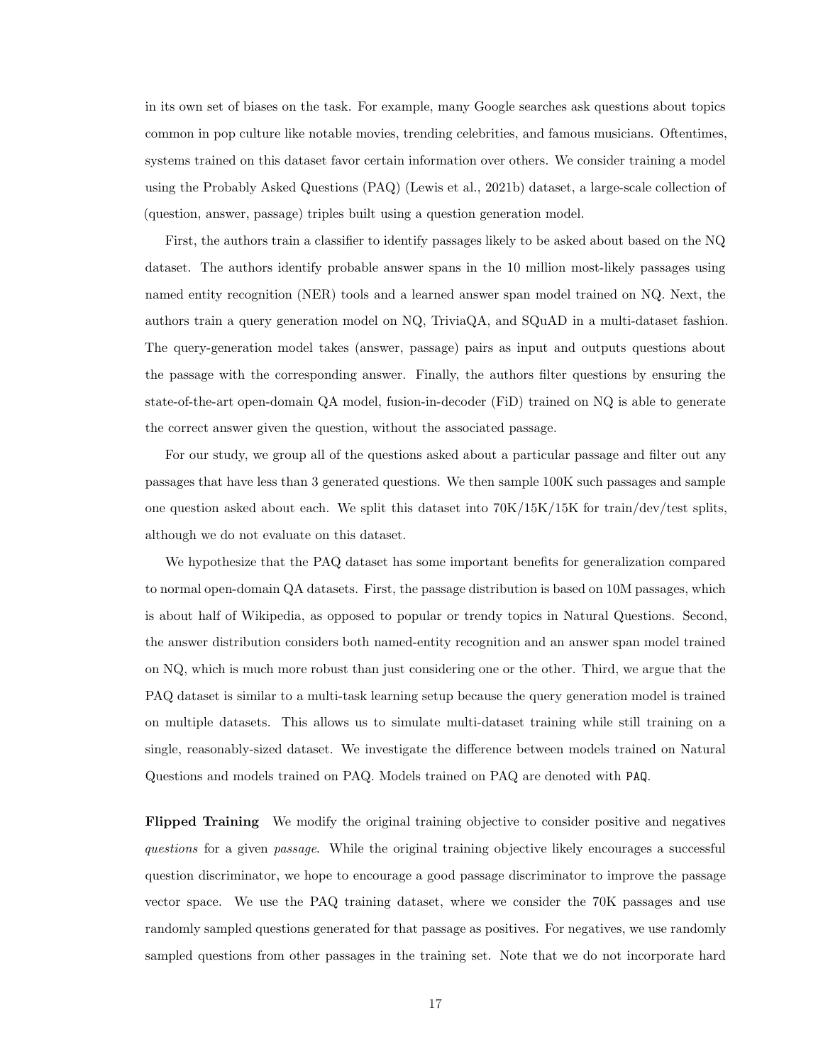in its own set of biases on the task. For example, many Google searches ask questions about topics common in pop culture like notable movies, trending celebrities, and famous musicians. Oftentimes, systems trained on this dataset favor certain information over others. We consider training a model using the Probably Asked Questions (PAQ) (Lewis et al., 2021b) dataset, a large-scale collection of (question, answer, passage) triples built using a question generation model.

First, the authors train a classifier to identify passages likely to be asked about based on the NQ dataset. The authors identify probable answer spans in the 10 million most-likely passages using named entity recognition (NER) tools and a learned answer span model trained on NQ. Next, the authors train a query generation model on NQ, TriviaQA, and SQuAD in a multi-dataset fashion. The query-generation model takes (answer, passage) pairs as input and outputs questions about the passage with the corresponding answer. Finally, the authors filter questions by ensuring the state-of-the-art open-domain QA model, fusion-in-decoder (FiD) trained on NQ is able to generate the correct answer given the question, without the associated passage.

For our study, we group all of the questions asked about a particular passage and filter out any passages that have less than 3 generated questions. We then sample 100K such passages and sample one question asked about each. We split this dataset into  $70K/15K/15K$  for train/dev/test splits, although we do not evaluate on this dataset.

We hypothesize that the PAQ dataset has some important benefits for generalization compared to normal open-domain QA datasets. First, the passage distribution is based on 10M passages, which is about half of Wikipedia, as opposed to popular or trendy topics in Natural Questions. Second, the answer distribution considers both named-entity recognition and an answer span model trained on NQ, which is much more robust than just considering one or the other. Third, we argue that the PAQ dataset is similar to a multi-task learning setup because the query generation model is trained on multiple datasets. This allows us to simulate multi-dataset training while still training on a single, reasonably-sized dataset. We investigate the difference between models trained on Natural Questions and models trained on PAQ. Models trained on PAQ are denoted with PAQ.

Flipped Training We modify the original training objective to consider positive and negatives questions for a given passage. While the original training objective likely encourages a successful question discriminator, we hope to encourage a good passage discriminator to improve the passage vector space. We use the PAQ training dataset, where we consider the 70K passages and use randomly sampled questions generated for that passage as positives. For negatives, we use randomly sampled questions from other passages in the training set. Note that we do not incorporate hard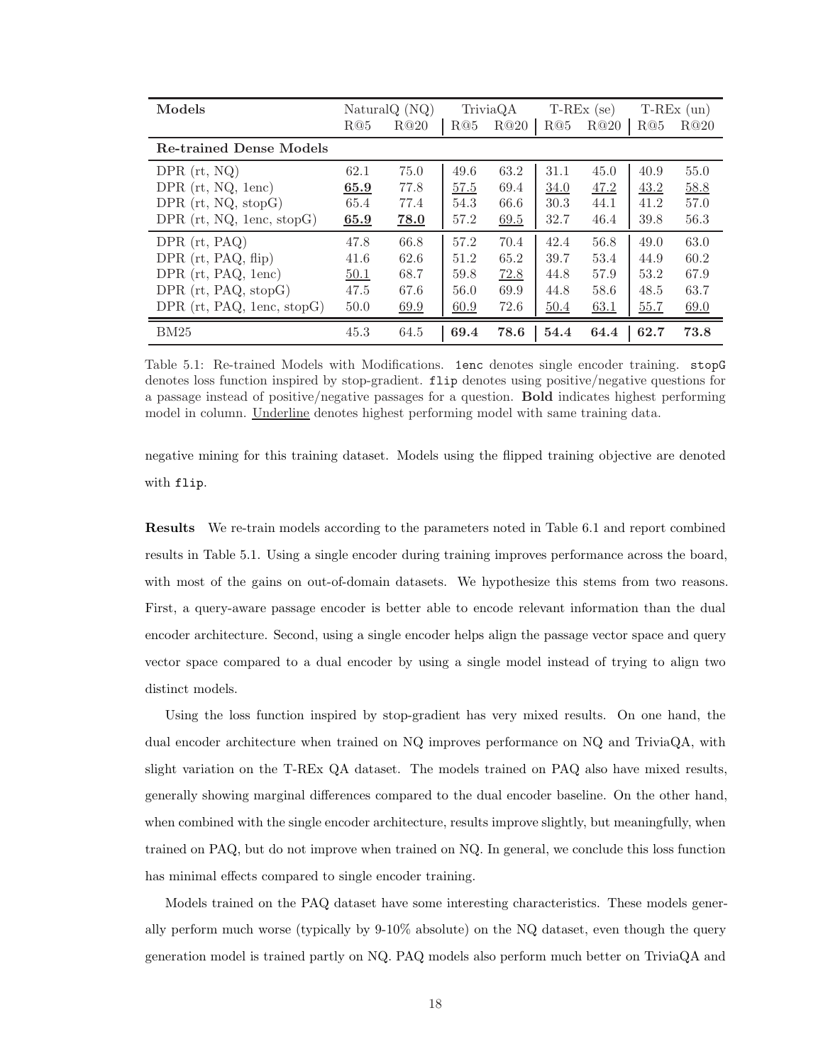| Models                                    |      | Natural $Q(NQ)$ |      | TriviaQA |      | $T-REx$ (se) |      | $T-REx$ (un) |
|-------------------------------------------|------|-----------------|------|----------|------|--------------|------|--------------|
|                                           | R@5  | R@20            | R@5  | R@20     | R@5  | R@20         | R@5  | R@20         |
| <b>Re-trained Dense Models</b>            |      |                 |      |          |      |              |      |              |
| $DPR$ (rt, $NQ$ )                         | 62.1 | 75.0            | 49.6 | 63.2     | 31.1 | 45.0         | 40.9 | 55.0         |
| DPR $(rt, NQ, 1enc)$                      | 65.9 | 77.8            | 57.5 | 69.4     | 34.0 | 47.2         | 43.2 | 58.8         |
| DPR $(rt, NQ, stopG)$                     | 65.4 | 77.4            | 54.3 | 66.6     | 30.3 | 44.1         | 41.2 | 57.0         |
| DPR $(rt, NQ, \text{lenc}, \text{stop}G)$ | 65.9 | <b>78.0</b>     | 57.2 | 69.5     | 32.7 | 46.4         | 39.8 | 56.3         |
| $DPR$ (rt, $PAQ$ )                        | 47.8 | 66.8            | 57.2 | 70.4     | 42.4 | 56.8         | 49.0 | 63.0         |
| DPR $(rt, PAQ, flip)$                     | 41.6 | 62.6            | 51.2 | 65.2     | 39.7 | 53.4         | 44.9 | 60.2         |
| DPR $(rt, PAQ, 1enc)$                     | 50.1 | 68.7            | 59.8 | 72.8     | 44.8 | 57.9         | 53.2 | 67.9         |
| DPR (rt, PAQ, stopG)                      | 47.5 | 67.6            | 56.0 | 69.9     | 44.8 | 58.6         | 48.5 | 63.7         |
| DPR $(rt, PAQ, 1enc, stopG)$              | 50.0 | 69.9            | 60.9 | 72.6     | 50.4 | 63.1         | 55.7 | 69.0         |
| BM25                                      | 45.3 | 64.5            | 69.4 | 78.6     | 54.4 | 64.4         | 62.7 | 73.8         |

Table 5.1: Re-trained Models with Modifications. 1enc denotes single encoder training. stopG denotes loss function inspired by stop-gradient. flip denotes using positive/negative questions for a passage instead of positive/negative passages for a question. Bold indicates highest performing model in column. Underline denotes highest performing model with same training data.

negative mining for this training dataset. Models using the flipped training objective are denoted with flip.

Results We re-train models according to the parameters noted in Table 6.1 and report combined results in Table 5.1. Using a single encoder during training improves performance across the board, with most of the gains on out-of-domain datasets. We hypothesize this stems from two reasons. First, a query-aware passage encoder is better able to encode relevant information than the dual encoder architecture. Second, using a single encoder helps align the passage vector space and query vector space compared to a dual encoder by using a single model instead of trying to align two distinct models.

Using the loss function inspired by stop-gradient has very mixed results. On one hand, the dual encoder architecture when trained on NQ improves performance on NQ and TriviaQA, with slight variation on the T-REx QA dataset. The models trained on PAQ also have mixed results, generally showing marginal differences compared to the dual encoder baseline. On the other hand, when combined with the single encoder architecture, results improve slightly, but meaningfully, when trained on PAQ, but do not improve when trained on NQ. In general, we conclude this loss function has minimal effects compared to single encoder training.

Models trained on the PAQ dataset have some interesting characteristics. These models generally perform much worse (typically by 9-10% absolute) on the NQ dataset, even though the query generation model is trained partly on NQ. PAQ models also perform much better on TriviaQA and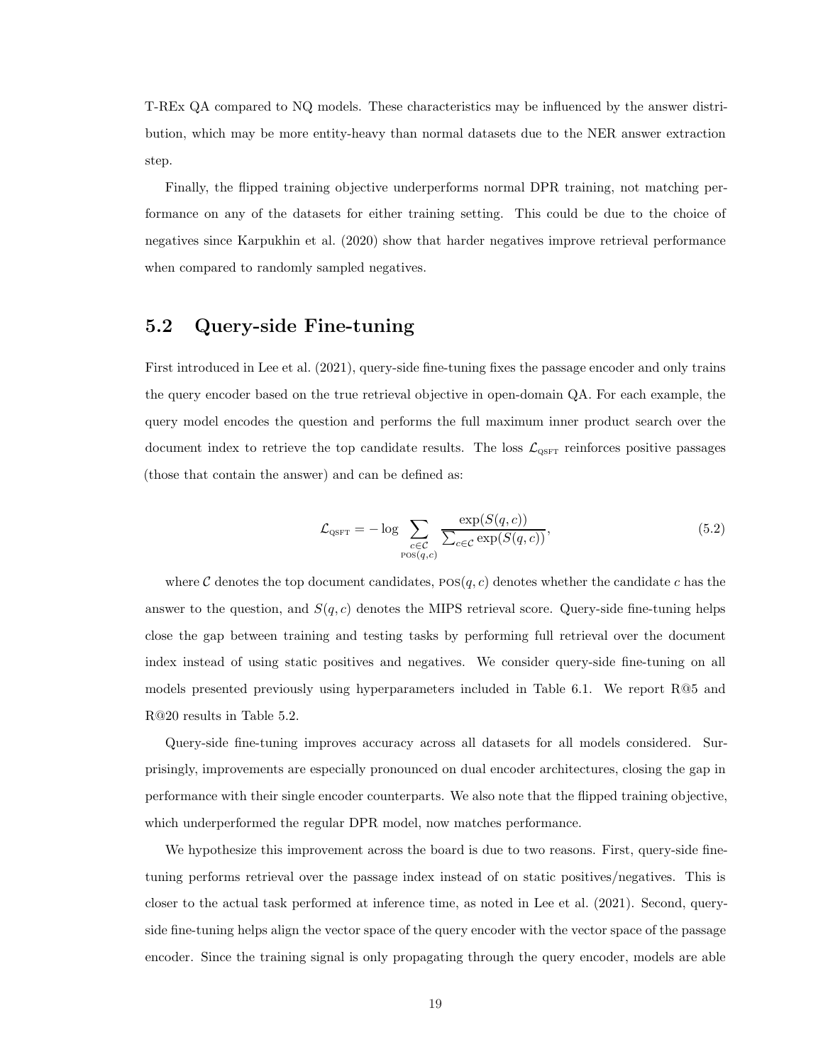T-REx QA compared to NQ models. These characteristics may be influenced by the answer distribution, which may be more entity-heavy than normal datasets due to the NER answer extraction step.

Finally, the flipped training objective underperforms normal DPR training, not matching performance on any of the datasets for either training setting. This could be due to the choice of negatives since Karpukhin et al. (2020) show that harder negatives improve retrieval performance when compared to randomly sampled negatives.

#### 5.2 Query-side Fine-tuning

First introduced in Lee et al. (2021), query-side fine-tuning fixes the passage encoder and only trains the query encoder based on the true retrieval objective in open-domain QA. For each example, the query model encodes the question and performs the full maximum inner product search over the document index to retrieve the top candidate results. The loss  $\mathcal{L}_{\text{QSFT}}$  reinforces positive passages (those that contain the answer) and can be defined as:

$$
\mathcal{L}_{\text{QSFT}} = -\log \sum_{\substack{c \in \mathcal{C} \\ \text{pos}(q,c)}} \frac{\exp(S(q,c))}{\sum_{c \in \mathcal{C}} \exp(S(q,c))},\tag{5.2}
$$

where C denotes the top document candidates,  $pos(q, c)$  denotes whether the candidate c has the answer to the question, and  $S(q, c)$  denotes the MIPS retrieval score. Query-side fine-tuning helps close the gap between training and testing tasks by performing full retrieval over the document index instead of using static positives and negatives. We consider query-side fine-tuning on all models presented previously using hyperparameters included in Table 6.1. We report R@5 and R@20 results in Table 5.2.

Query-side fine-tuning improves accuracy across all datasets for all models considered. Surprisingly, improvements are especially pronounced on dual encoder architectures, closing the gap in performance with their single encoder counterparts. We also note that the flipped training objective, which underperformed the regular DPR model, now matches performance.

We hypothesize this improvement across the board is due to two reasons. First, query-side finetuning performs retrieval over the passage index instead of on static positives/negatives. This is closer to the actual task performed at inference time, as noted in Lee et al. (2021). Second, queryside fine-tuning helps align the vector space of the query encoder with the vector space of the passage encoder. Since the training signal is only propagating through the query encoder, models are able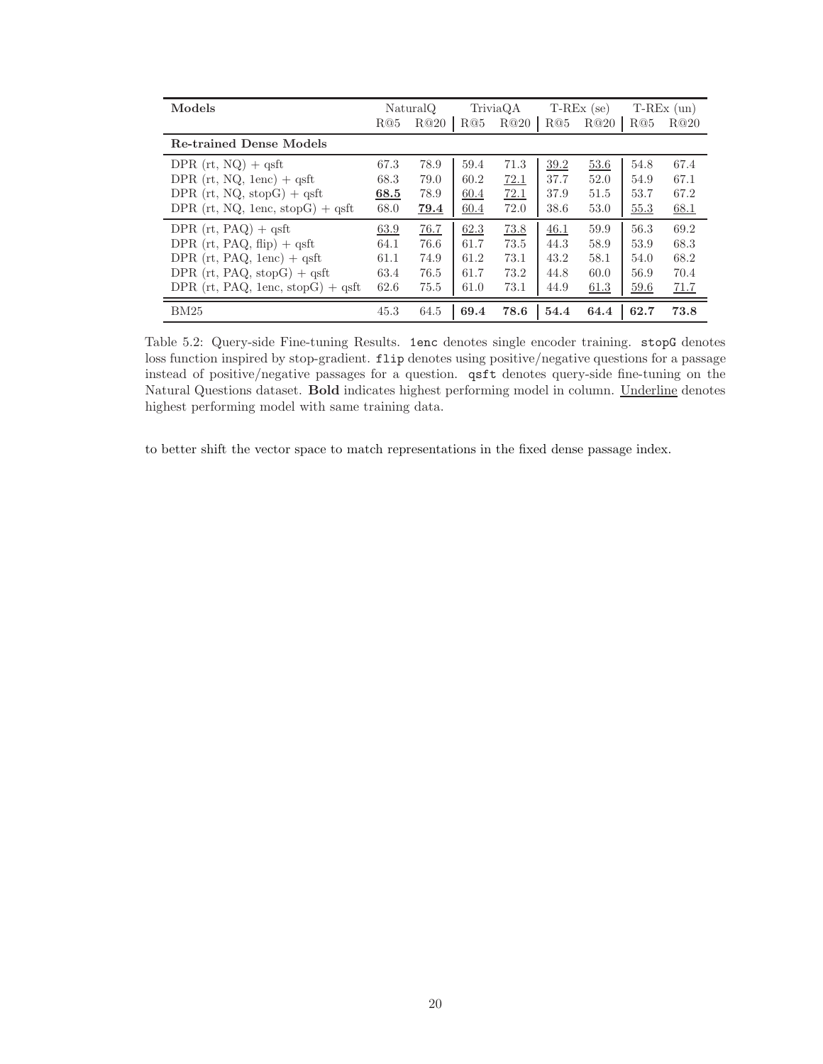| Models                              |      | NaturalQ |      | TriviaQA |      | $T-REx$ (se) |      | $T-REx$ (un) |
|-------------------------------------|------|----------|------|----------|------|--------------|------|--------------|
|                                     | R@5  | R@20     | R@5  | R@20     | R@5  | R@20         | R@5  | R@20         |
| <b>Re-trained Dense Models</b>      |      |          |      |          |      |              |      |              |
| DPR $(rt, NQ)$ + qsft               | 67.3 | 78.9     | 59.4 | 71.3     | 39.2 | 53.6         | 54.8 | 67.4         |
| DPR $(rt, NQ, lenc)$ + qsft         | 68.3 | 79.0     | 60.2 | 72.1     | 37.7 | 52.0         | 54.9 | 67.1         |
| DPR $(rt, NQ, stopG) + qsft$        | 68.5 | 78.9     | 60.4 | 72.1     | 37.9 | 51.5         | 53.7 | 67.2         |
| DPR (rt, NQ, 1enc, stopG) $+$ qsft  | 68.0 | 79.4     | 60.4 | 72.0     | 38.6 | 53.0         | 55.3 | 68.1         |
| DPR $(rt, PAQ) + qsft$              | 63.9 | 76.7     | 62.3 | 73.8     | 46.1 | 59.9         | 56.3 | 69.2         |
| DPR $(rt, PAQ, flip) + qsft$        | 64.1 | 76.6     | 61.7 | 73.5     | 44.3 | 58.9         | 53.9 | 68.3         |
| DPR $(rt, PAQ, 1enc) + qsft$        | 61.1 | 74.9     | 61.2 | 73.1     | 43.2 | 58.1         | 54.0 | 68.2         |
| DPR $(rt, PAQ, stopG) + qsft$       | 63.4 | 76.5     | 61.7 | 73.2     | 44.8 | 60.0         | 56.9 | 70.4         |
| DPR $(rt, PAQ, 1enc, stopG) + qsft$ | 62.6 | 75.5     | 61.0 | 73.1     | 44.9 | 61.3         | 59.6 | 71.7         |
| BM25                                | 45.3 | 64.5     | 69.4 | 78.6     | 54.4 | 64.4         | 62.7 | 73.8         |

Table 5.2: Query-side Fine-tuning Results. 1enc denotes single encoder training. stopG denotes loss function inspired by stop-gradient. flip denotes using positive/negative questions for a passage instead of positive/negative passages for a question. qsft denotes query-side fine-tuning on the Natural Questions dataset. Bold indicates highest performing model in column. Underline denotes highest performing model with same training data.

to better shift the vector space to match representations in the fixed dense passage index.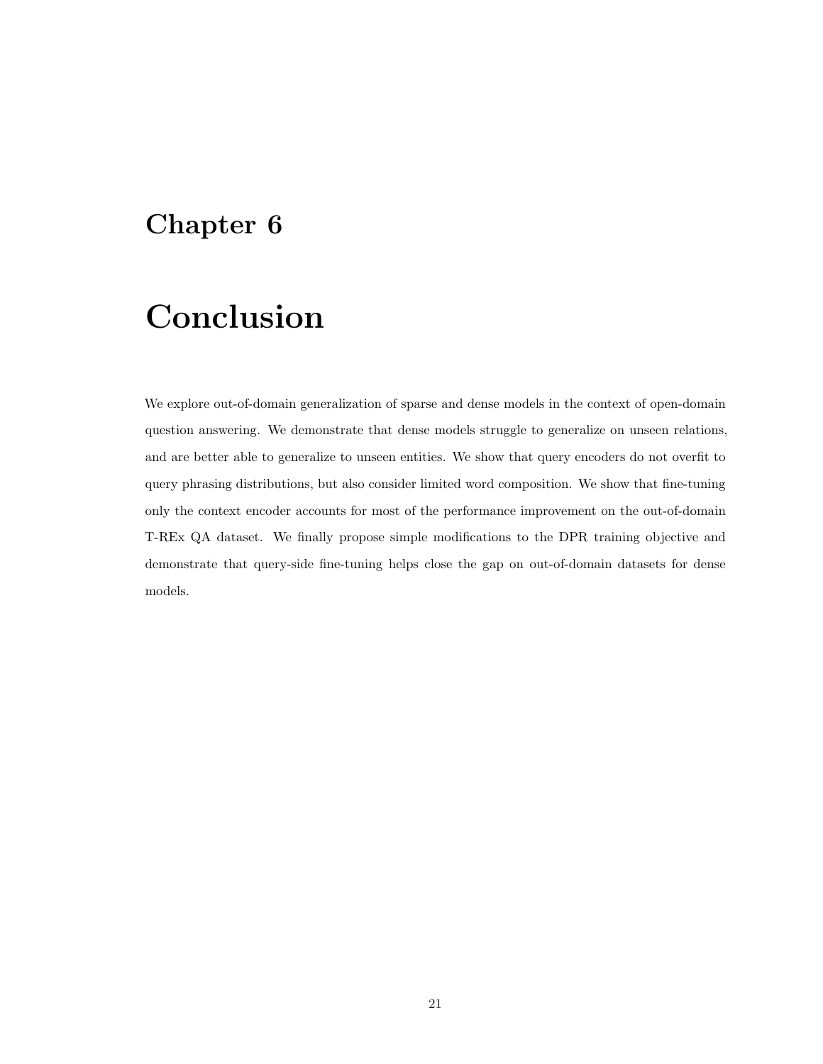## Conclusion

We explore out-of-domain generalization of sparse and dense models in the context of open-domain question answering. We demonstrate that dense models struggle to generalize on unseen relations, and are better able to generalize to unseen entities. We show that query encoders do not overfit to query phrasing distributions, but also consider limited word composition. We show that fine-tuning only the context encoder accounts for most of the performance improvement on the out-of-domain T-REx QA dataset. We finally propose simple modifications to the DPR training objective and demonstrate that query-side fine-tuning helps close the gap on out-of-domain datasets for dense models.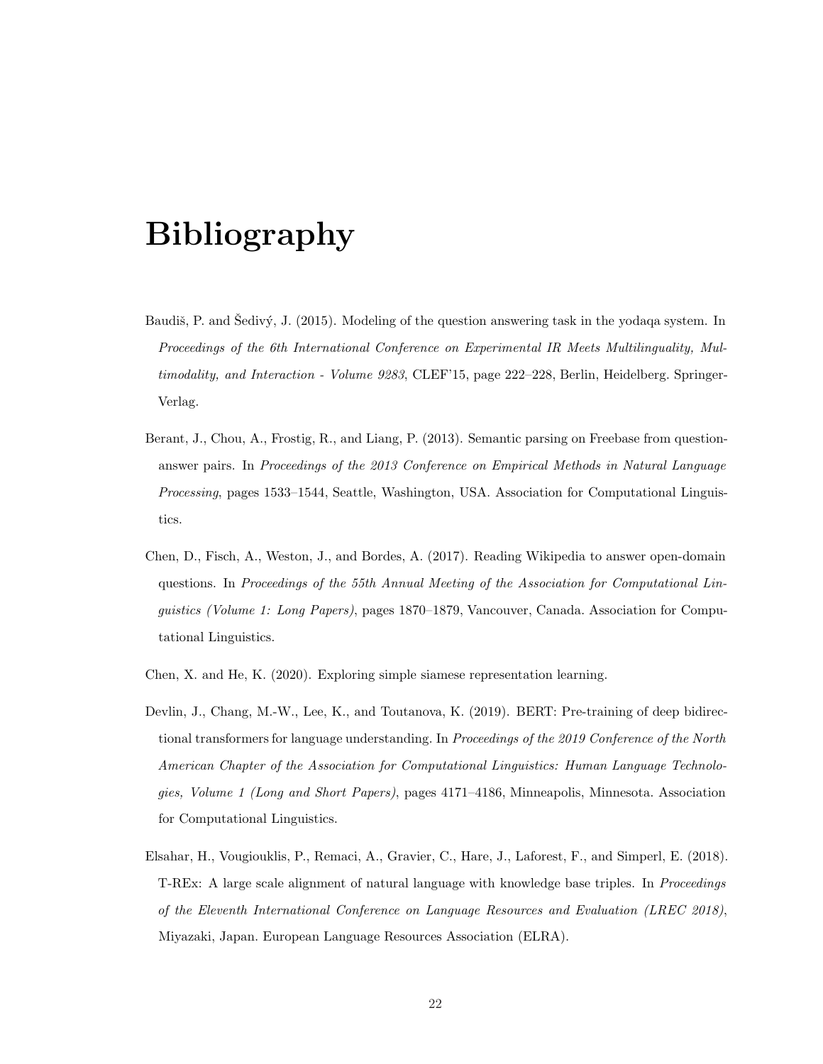## Bibliography

- Baudiš, P. and Sedivý, J. (2015). Modeling of the question answering task in the yodaqa system. In Proceedings of the 6th International Conference on Experimental IR Meets Multilinguality, Multimodality, and Interaction - Volume 9283, CLEF'15, page 222-228, Berlin, Heidelberg. Springer-Verlag.
- Berant, J., Chou, A., Frostig, R., and Liang, P. (2013). Semantic parsing on Freebase from questionanswer pairs. In Proceedings of the 2013 Conference on Empirical Methods in Natural Language Processing, pages 1533–1544, Seattle, Washington, USA. Association for Computational Linguistics.
- Chen, D., Fisch, A., Weston, J., and Bordes, A. (2017). Reading Wikipedia to answer open-domain questions. In Proceedings of the 55th Annual Meeting of the Association for Computational Linguistics (Volume 1: Long Papers), pages 1870–1879, Vancouver, Canada. Association for Computational Linguistics.
- Chen, X. and He, K. (2020). Exploring simple siamese representation learning.
- Devlin, J., Chang, M.-W., Lee, K., and Toutanova, K. (2019). BERT: Pre-training of deep bidirectional transformers for language understanding. In Proceedings of the 2019 Conference of the North American Chapter of the Association for Computational Linguistics: Human Language Technologies, Volume 1 (Long and Short Papers), pages 4171–4186, Minneapolis, Minnesota. Association for Computational Linguistics.
- Elsahar, H., Vougiouklis, P., Remaci, A., Gravier, C., Hare, J., Laforest, F., and Simperl, E. (2018). T-REx: A large scale alignment of natural language with knowledge base triples. In Proceedings of the Eleventh International Conference on Language Resources and Evaluation (LREC 2018), Miyazaki, Japan. European Language Resources Association (ELRA).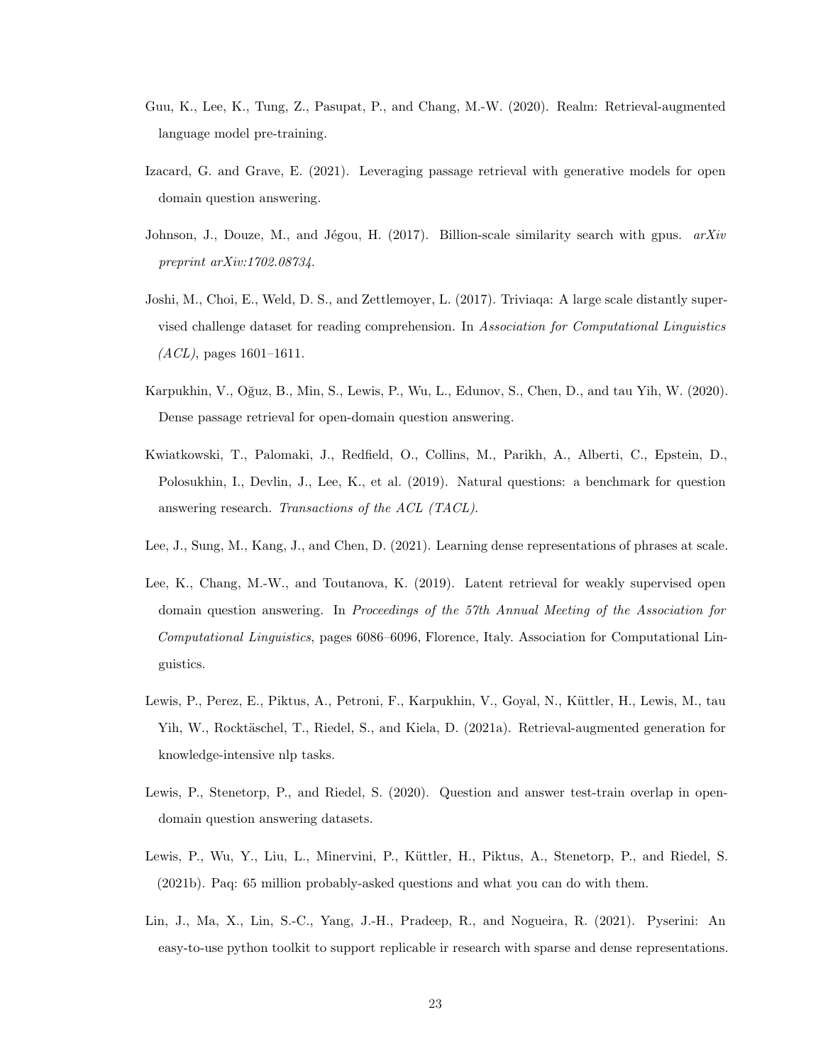- Guu, K., Lee, K., Tung, Z., Pasupat, P., and Chang, M.-W. (2020). Realm: Retrieval-augmented language model pre-training.
- Izacard, G. and Grave, E. (2021). Leveraging passage retrieval with generative models for open domain question answering.
- Johnson, J., Douze, M., and Jégou, H. (2017). Billion-scale similarity search with gpus.  $arXiv$ preprint arXiv:1702.08734.
- Joshi, M., Choi, E., Weld, D. S., and Zettlemoyer, L. (2017). Triviaqa: A large scale distantly supervised challenge dataset for reading comprehension. In Association for Computational Linguistics  $(ACL)$ , pages 1601–1611.
- Karpukhin, V., Oğuz, B., Min, S., Lewis, P., Wu, L., Edunov, S., Chen, D., and tau Yih, W. (2020). Dense passage retrieval for open-domain question answering.
- Kwiatkowski, T., Palomaki, J., Redfield, O., Collins, M., Parikh, A., Alberti, C., Epstein, D., Polosukhin, I., Devlin, J., Lee, K., et al. (2019). Natural questions: a benchmark for question answering research. Transactions of the ACL (TACL).
- Lee, J., Sung, M., Kang, J., and Chen, D. (2021). Learning dense representations of phrases at scale.
- Lee, K., Chang, M.-W., and Toutanova, K. (2019). Latent retrieval for weakly supervised open domain question answering. In Proceedings of the 57th Annual Meeting of the Association for Computational Linguistics, pages 6086–6096, Florence, Italy. Association for Computational Linguistics.
- Lewis, P., Perez, E., Piktus, A., Petroni, F., Karpukhin, V., Goyal, N., Küttler, H., Lewis, M., tau Yih, W., Rocktäschel, T., Riedel, S., and Kiela, D. (2021a). Retrieval-augmented generation for knowledge-intensive nlp tasks.
- Lewis, P., Stenetorp, P., and Riedel, S. (2020). Question and answer test-train overlap in opendomain question answering datasets.
- Lewis, P., Wu, Y., Liu, L., Minervini, P., Küttler, H., Piktus, A., Stenetorp, P., and Riedel, S. (2021b). Paq: 65 million probably-asked questions and what you can do with them.
- Lin, J., Ma, X., Lin, S.-C., Yang, J.-H., Pradeep, R., and Nogueira, R. (2021). Pyserini: An easy-to-use python toolkit to support replicable ir research with sparse and dense representations.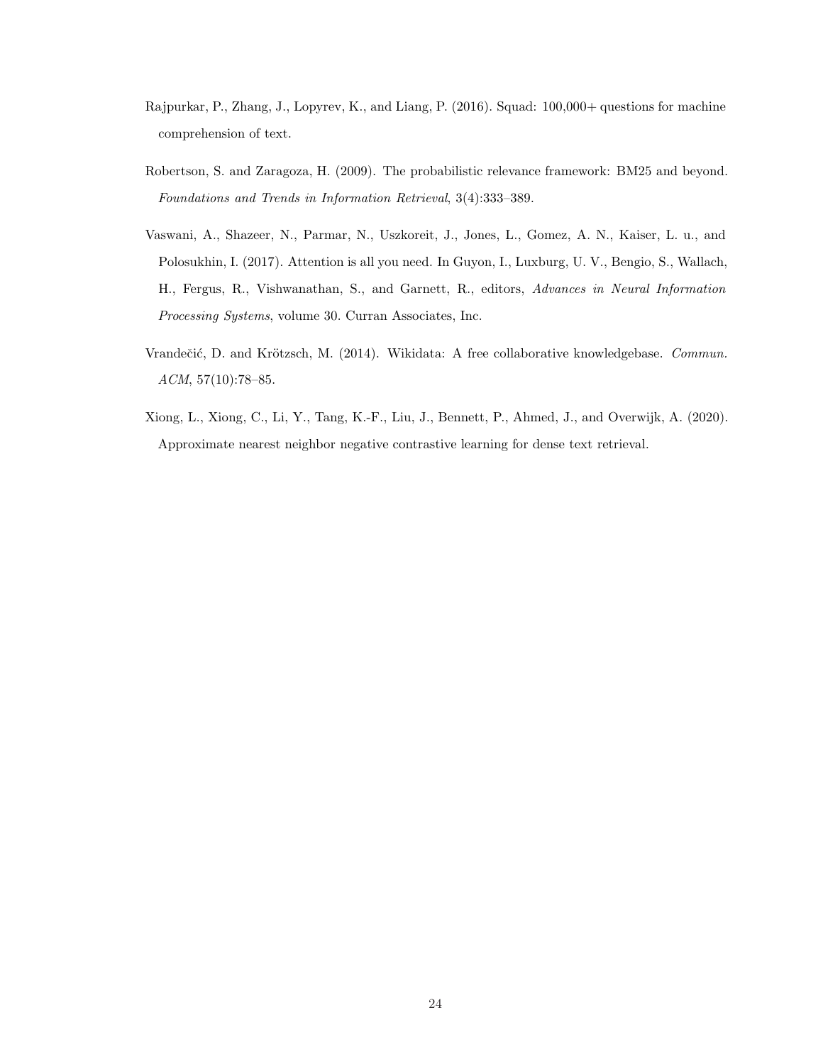- Rajpurkar, P., Zhang, J., Lopyrev, K., and Liang, P. (2016). Squad: 100,000+ questions for machine comprehension of text.
- Robertson, S. and Zaragoza, H. (2009). The probabilistic relevance framework: BM25 and beyond. Foundations and Trends in Information Retrieval, 3(4):333–389.
- Vaswani, A., Shazeer, N., Parmar, N., Uszkoreit, J., Jones, L., Gomez, A. N., Kaiser, L. u., and Polosukhin, I. (2017). Attention is all you need. In Guyon, I., Luxburg, U. V., Bengio, S., Wallach, H., Fergus, R., Vishwanathan, S., and Garnett, R., editors, Advances in Neural Information Processing Systems, volume 30. Curran Associates, Inc.
- Vrandečić, D. and Krötzsch, M. (2014). Wikidata: A free collaborative knowledgebase. Commun. ACM, 57(10):78–85.
- Xiong, L., Xiong, C., Li, Y., Tang, K.-F., Liu, J., Bennett, P., Ahmed, J., and Overwijk, A. (2020). Approximate nearest neighbor negative contrastive learning for dense text retrieval.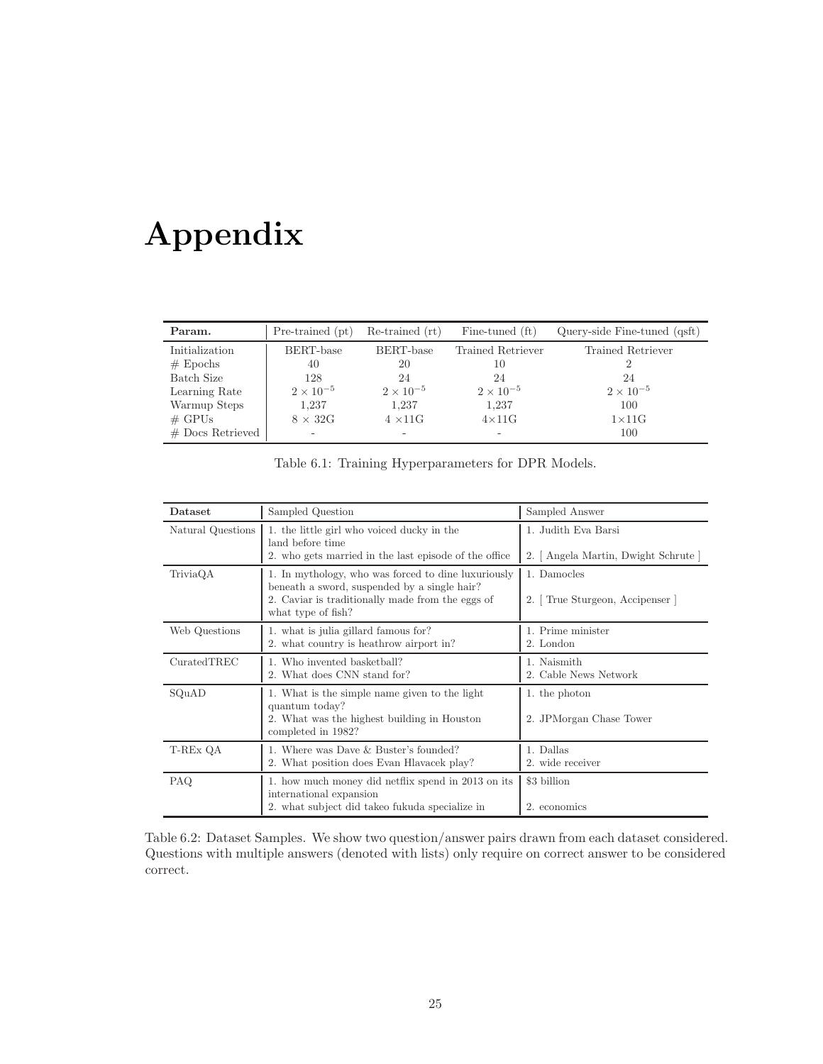# Appendix

| Param.             | Pre-trained (pt)   | Re-trained (rt)    | Fine-tuned (ft)    | Query-side Fine-tuned (qsft) |
|--------------------|--------------------|--------------------|--------------------|------------------------------|
| Initialization     | BERT-base          | BERT-base          | Trained Retriever  | Trained Retriever            |
| $#$ Epochs         | 40                 | 20                 | 10                 |                              |
| Batch Size         | 128                | 24                 | 24                 | 24                           |
| Learning Rate      | $2 \times 10^{-5}$ | $2 \times 10^{-5}$ | $2 \times 10^{-5}$ | $2 \times 10^{-5}$           |
| Warmup Steps       | 1,237              | 1,237              | 1,237              | 100                          |
| $\#$ GPUs          | $8 \times 32G$     | $4 \times 11$ G    | $4\times11G$       | $1\times 11$ G               |
| $#$ Docs Retrieved | ۰                  | ۰                  | -                  | 100                          |

| Dataset           | Sampled Question                                                                                                                                                              | Sampled Answer                                              |
|-------------------|-------------------------------------------------------------------------------------------------------------------------------------------------------------------------------|-------------------------------------------------------------|
| Natural Questions | 1. the little girl who voiced ducky in the<br>land before time<br>2. who gets married in the last episode of the office                                                       | 1. Judith Eva Barsi<br>2. [ Angela Martin, Dwight Schrute ] |
| TriviaQA          | 1. In mythology, who was forced to dine luxuriously<br>beneath a sword, suspended by a single hair?<br>2. Caviar is traditionally made from the eggs of<br>what type of fish? | 1. Damocles<br>2. True Sturgeon, Accipenser                 |
| Web Questions     | 1. what is julia gillard famous for?<br>2. what country is heathrow airport in?                                                                                               | 1. Prime minister<br>2. London                              |
| Curated TREC      | 1. Who invented basketball?<br>2. What does CNN stand for?                                                                                                                    | 1. Naismith<br>2. Cable News Network                        |
| SQuAD             | 1. What is the simple name given to the light<br>quantum today?<br>2. What was the highest building in Houston<br>completed in 1982?                                          | 1. the photon<br>2. JPMorgan Chase Tower                    |
| T-REx QA          | 1. Where was Dave & Buster's founded?<br>2. What position does Evan Hlavacek play?                                                                                            | 1. Dallas<br>2. wide receiver                               |
| PAQ.              | 1. how much money did net flix spend in 2013 on its<br>international expansion<br>2. what subject did takeo fukuda specialize in                                              | \$3 billion<br>2. economics                                 |

Table 6.2: Dataset Samples. We show two question/answer pairs drawn from each dataset considered. Questions with multiple answers (denoted with lists) only require on correct answer to be considered correct.